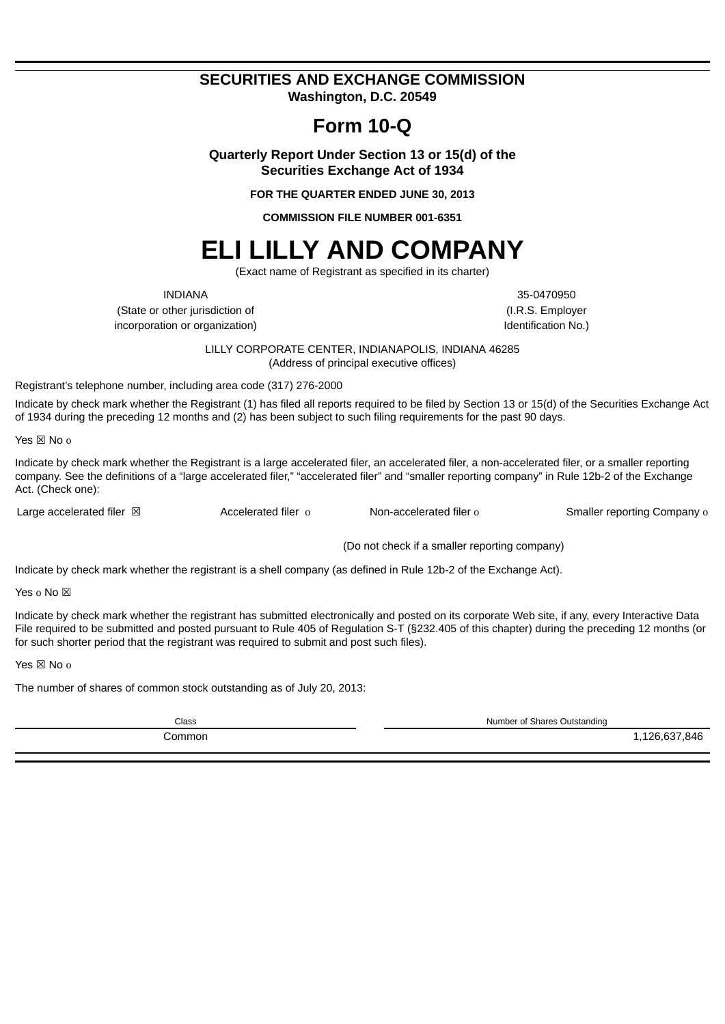# **SECURITIES AND EXCHANGE COMMISSION Washington, D.C. 20549**

# **Form 10-Q**

**Quarterly Report Under Section 13 or 15(d) of the Securities Exchange Act of 1934**

**FOR THE QUARTER ENDED JUNE 30, 2013**

**COMMISSION FILE NUMBER 001-6351**

# **ELI LILLY AND COMPANY**

(Exact name of Registrant as specified in its charter)

(State or other jurisdiction of (I.R.S. Employer incorporation or organization) and the control of the control of the control of the control of the control of the control of the control of the control of the control of the control of the control of the control of the con

INDIANA 35-0470950

LILLY CORPORATE CENTER, INDIANAPOLIS, INDIANA 46285 (Address of principal executive offices)

Registrant's telephone number, including area code (317) 276-2000

Indicate by check mark whether the Registrant (1) has filed all reports required to be filed by Section 13 or 15(d) of the Securities Exchange Act of 1934 during the preceding 12 months and (2) has been subject to such filing requirements for the past 90 days.

Yes ⊠ No o

Indicate by check mark whether the Registrant is a large accelerated filer, an accelerated filer, a non-accelerated filer, or a smaller reporting company. See the definitions of a "large accelerated filer," "accelerated filer" and "smaller reporting company" in Rule 12b-2 of the Exchange Act. (Check one):

Large accelerated filer  $\boxtimes$  Accelerated filer o Non-accelerated filer o Smaller reporting Company o

(Do not check if a smaller reporting company)

Indicate by check mark whether the registrant is a shell company (as defined in Rule 12b-2 of the Exchange Act).

Yes o No ⊠

Indicate by check mark whether the registrant has submitted electronically and posted on its corporate Web site, if any, every Interactive Data File required to be submitted and posted pursuant to Rule 405 of Regulation S-T (§232.405 of this chapter) during the preceding 12 months (or for such shorter period that the registrant was required to submit and post such files).

Yes ⊠ No o

The number of shares of common stock outstanding as of July 20, 2013:

Class **Number of Shares Outstanding** Class Common 1,126,637,846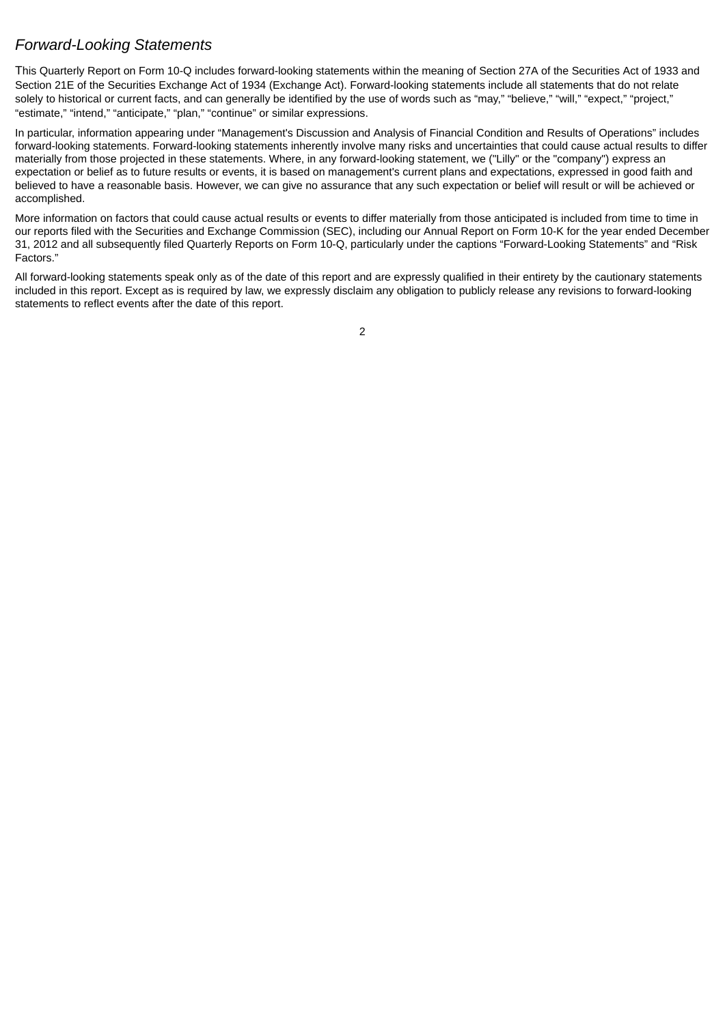# *Forward-Looking Statements*

This Quarterly Report on Form 10-Q includes forward-looking statements within the meaning of Section 27A of the Securities Act of 1933 and Section 21E of the Securities Exchange Act of 1934 (Exchange Act). Forward-looking statements include all statements that do not relate solely to historical or current facts, and can generally be identified by the use of words such as "may," "believe," "will," "expect," "project," "estimate," "intend," "anticipate," "plan," "continue" or similar expressions.

In particular, information appearing under "Management's Discussion and Analysis of Financial Condition and Results of Operations" includes forward-looking statements. Forward-looking statements inherently involve many risks and uncertainties that could cause actual results to differ materially from those projected in these statements. Where, in any forward-looking statement, we ("Lilly" or the "company") express an expectation or belief as to future results or events, it is based on management's current plans and expectations, expressed in good faith and believed to have a reasonable basis. However, we can give no assurance that any such expectation or belief will result or will be achieved or accomplished.

More information on factors that could cause actual results or events to differ materially from those anticipated is included from time to time in our reports filed with the Securities and Exchange Commission (SEC), including our Annual Report on Form 10-K for the year ended December 31, 2012 and all subsequently filed Quarterly Reports on Form 10-Q, particularly under the captions "Forward-Looking Statements" and "Risk Factors."

All forward-looking statements speak only as of the date of this report and are expressly qualified in their entirety by the cautionary statements included in this report. Except as is required by law, we expressly disclaim any obligation to publicly release any revisions to forward-looking statements to reflect events after the date of this report.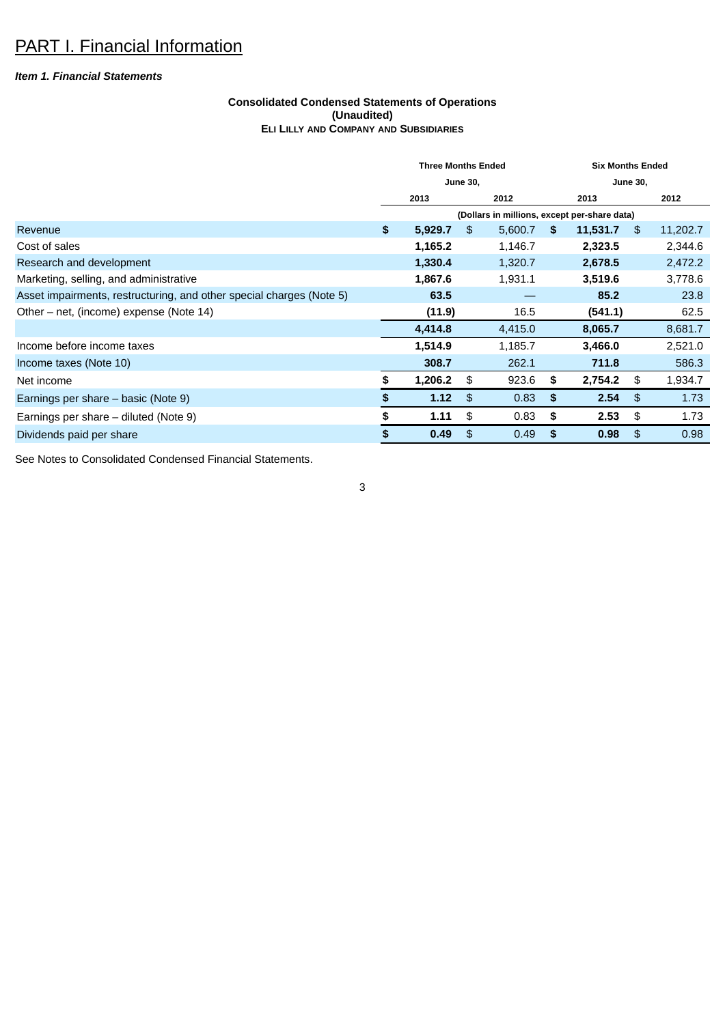# **PART I. Financial Information**

### *Item 1. Financial Statements*

#### **Consolidated Condensed Statements of Operations (Unaudited) ELI LILLY AND COMPANY AND SUBSIDIARIES**

|                                                                      | <b>Three Months Ended</b><br><b>June 30.</b> |         |    |         |      | <b>Six Months Ended</b><br>June 30,          |      |          |  |
|----------------------------------------------------------------------|----------------------------------------------|---------|----|---------|------|----------------------------------------------|------|----------|--|
|                                                                      |                                              | 2013    |    | 2012    |      | 2013                                         |      | 2012     |  |
|                                                                      |                                              |         |    |         |      | (Dollars in millions, except per-share data) |      |          |  |
| Revenue                                                              | \$                                           | 5,929.7 | \$ | 5,600.7 | \$   | 11,531.7                                     | \$   | 11,202.7 |  |
| Cost of sales                                                        |                                              | 1,165.2 |    | 1,146.7 |      | 2,323.5                                      |      | 2,344.6  |  |
| Research and development                                             |                                              | 1,330.4 |    | 1,320.7 |      | 2,678.5                                      |      | 2,472.2  |  |
| Marketing, selling, and administrative                               |                                              | 1,867.6 |    | 1,931.1 |      | 3,519.6                                      |      | 3,778.6  |  |
| Asset impairments, restructuring, and other special charges (Note 5) | 63.5                                         |         |    |         | 85.2 |                                              | 23.8 |          |  |
| Other – net, (income) expense (Note 14)                              |                                              | (11.9)  |    | 16.5    |      | (541.1)                                      |      | 62.5     |  |
|                                                                      |                                              | 4,414.8 |    | 4,415.0 |      | 8,065.7                                      |      | 8,681.7  |  |
| Income before income taxes                                           |                                              | 1,514.9 |    | 1,185.7 |      | 3,466.0                                      |      | 2,521.0  |  |
| Income taxes (Note 10)                                               |                                              | 308.7   |    | 262.1   |      | 711.8                                        |      | 586.3    |  |
| Net income                                                           |                                              | 1,206.2 | \$ | 923.6   | \$   | 2,754.2                                      | \$   | 1,934.7  |  |
| Earnings per share – basic (Note 9)                                  | S                                            | 1.12    | \$ | 0.83    | \$   | 2.54                                         | \$   | 1.73     |  |
| Earnings per share – diluted (Note 9)                                | \$                                           | 1.11    | \$ | 0.83    | \$   | 2.53                                         | \$   | 1.73     |  |
| Dividends paid per share                                             | S.                                           | 0.49    | \$ | 0.49    | \$   | 0.98                                         | \$   | 0.98     |  |

See Notes to Consolidated Condensed Financial Statements.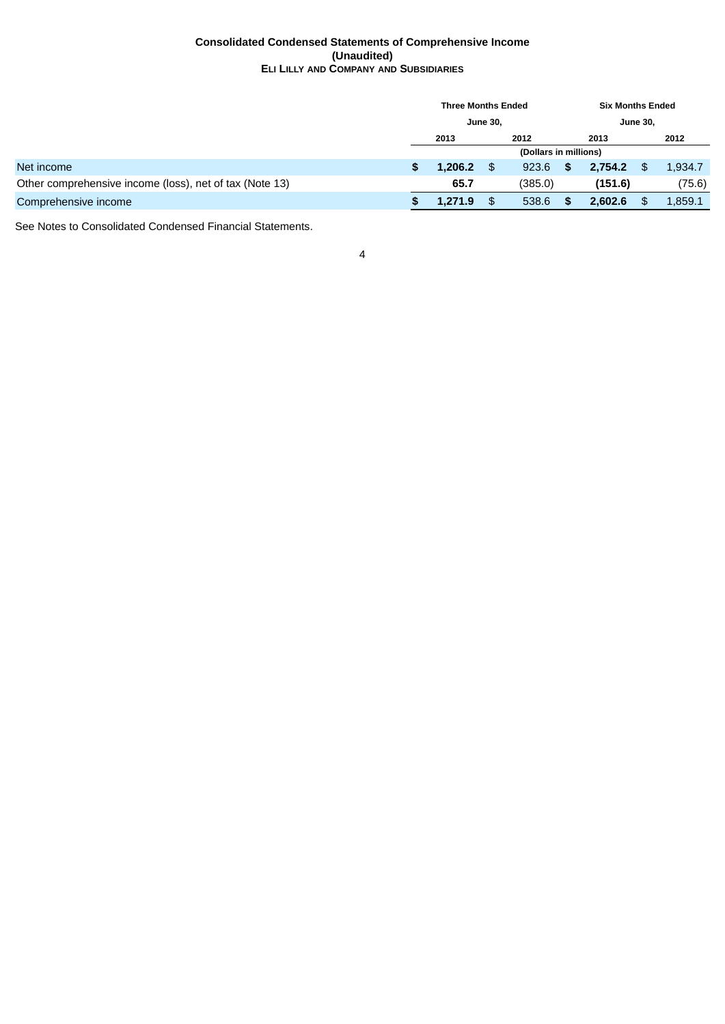#### **Consolidated Condensed Statements of Comprehensive Income (Unaudited) ELI LILLY AND COMPANY AND SUBSIDIARIES**

|                                                         | <b>Three Months Ended</b> |      |         |                       | <b>Six Months Ended</b> |      |         |  |
|---------------------------------------------------------|---------------------------|------|---------|-----------------------|-------------------------|------|---------|--|
|                                                         | June 30,                  |      |         |                       | June 30,                |      |         |  |
|                                                         | 2013                      | 2012 |         | 2013                  |                         | 2012 |         |  |
|                                                         |                           |      |         | (Dollars in millions) |                         |      |         |  |
| Net income                                              | 1,206.2                   | \$   | 923.6   | \$.                   | 2.754.2                 |      | 1.934.7 |  |
| Other comprehensive income (loss), net of tax (Note 13) | 65.7                      |      | (385.0) |                       | (151.6)                 |      | (75.6)  |  |
| Comprehensive income                                    | 1,271.9                   | \$   | 538.6   | S                     | 2,602.6                 |      | 1,859.1 |  |

See Notes to Consolidated Condensed Financial Statements.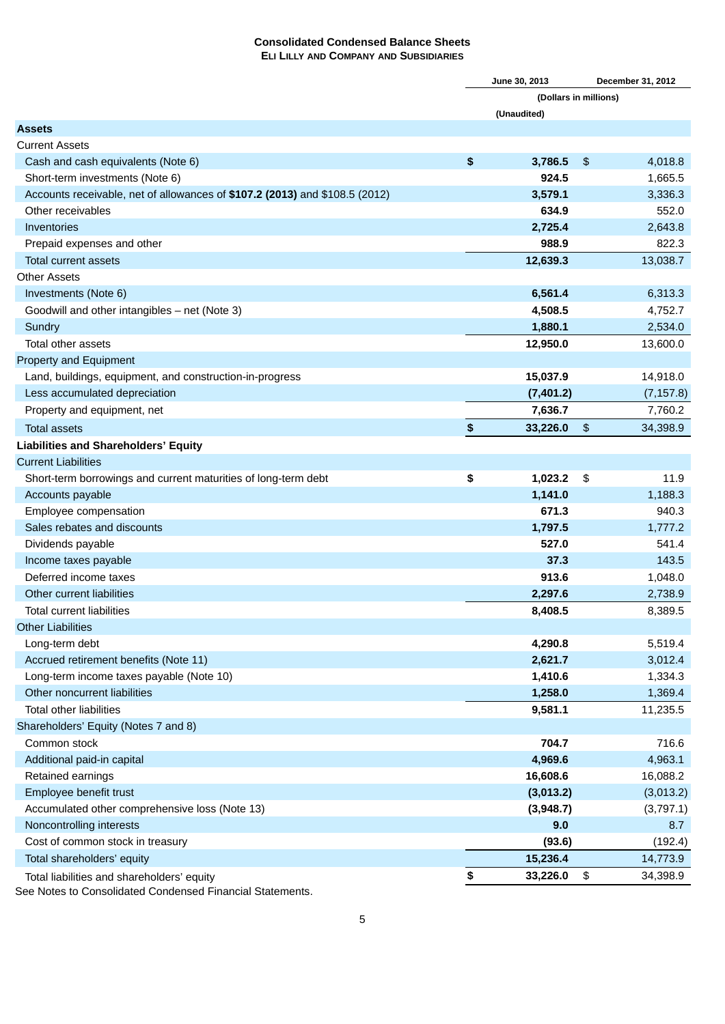#### **Consolidated Condensed Balance Sheets ELI LILLY AND COMPANY AND SUBSIDIARIES**

|                                                                             | June 30, 2013         |               | December 31, 2012 |
|-----------------------------------------------------------------------------|-----------------------|---------------|-------------------|
|                                                                             | (Dollars in millions) |               |                   |
|                                                                             | (Unaudited)           |               |                   |
| <b>Assets</b>                                                               |                       |               |                   |
| <b>Current Assets</b>                                                       |                       |               |                   |
| Cash and cash equivalents (Note 6)                                          | \$<br>3,786.5         | \$            | 4,018.8           |
| Short-term investments (Note 6)                                             | 924.5                 |               | 1,665.5           |
| Accounts receivable, net of allowances of \$107.2 (2013) and \$108.5 (2012) | 3,579.1               |               | 3,336.3           |
| Other receivables                                                           | 634.9                 |               | 552.0             |
| Inventories                                                                 | 2,725.4               |               | 2,643.8           |
| Prepaid expenses and other                                                  | 988.9                 |               | 822.3             |
| <b>Total current assets</b>                                                 | 12,639.3              |               | 13,038.7          |
| <b>Other Assets</b>                                                         |                       |               |                   |
| Investments (Note 6)                                                        | 6,561.4               |               | 6,313.3           |
| Goodwill and other intangibles - net (Note 3)                               | 4,508.5               |               | 4,752.7           |
| Sundry                                                                      | 1,880.1               |               | 2,534.0           |
| Total other assets                                                          | 12,950.0              |               | 13,600.0          |
| <b>Property and Equipment</b>                                               |                       |               |                   |
| Land, buildings, equipment, and construction-in-progress                    | 15,037.9              |               | 14,918.0          |
| Less accumulated depreciation                                               | (7,401.2)             |               | (7, 157.8)        |
| Property and equipment, net                                                 | 7,636.7               |               | 7,760.2           |
| <b>Total assets</b>                                                         | \$<br>33,226.0        | $\frac{4}{5}$ | 34,398.9          |
| <b>Liabilities and Shareholders' Equity</b>                                 |                       |               |                   |
| <b>Current Liabilities</b>                                                  |                       |               |                   |
| Short-term borrowings and current maturities of long-term debt              | \$<br>1,023.2         | \$            | 11.9              |
| Accounts payable                                                            | 1,141.0               |               | 1,188.3           |
| Employee compensation                                                       | 671.3                 |               | 940.3             |
| Sales rebates and discounts                                                 | 1,797.5               |               | 1,777.2           |
| Dividends payable                                                           | 527.0                 |               | 541.4             |
| Income taxes payable                                                        | 37.3                  |               | 143.5             |
| Deferred income taxes                                                       | 913.6                 |               | 1,048.0           |
| Other current liabilities                                                   | 2.297.6               |               | 2,738.9           |
| <b>Total current liabilities</b>                                            | 8,408.5               |               | 8,389.5           |
| <b>Other Liabilities</b>                                                    |                       |               |                   |
| Long-term debt                                                              | 4,290.8               |               | 5,519.4           |
| Accrued retirement benefits (Note 11)                                       | 2,621.7               |               | 3,012.4           |
| Long-term income taxes payable (Note 10)                                    | 1,410.6               |               | 1,334.3           |
| Other noncurrent liabilities                                                | 1,258.0               |               | 1,369.4           |
| <b>Total other liabilities</b>                                              | 9,581.1               |               | 11,235.5          |
| Shareholders' Equity (Notes 7 and 8)                                        |                       |               |                   |
| Common stock                                                                | 704.7                 |               | 716.6             |
| Additional paid-in capital                                                  | 4,969.6               |               | 4,963.1           |
| Retained earnings                                                           | 16,608.6              |               | 16,088.2          |
| Employee benefit trust                                                      | (3,013.2)             |               | (3,013.2)         |
| Accumulated other comprehensive loss (Note 13)                              | (3,948.7)             |               | (3,797.1)         |
| Noncontrolling interests                                                    | 9.0                   |               | 8.7               |
| Cost of common stock in treasury                                            | (93.6)                |               | (192.4)           |
| Total shareholders' equity                                                  | 15,236.4              |               | 14,773.9          |
| Total liabilities and shareholders' equity                                  | \$<br>33,226.0        | \$            | 34,398.9          |
|                                                                             |                       |               |                   |

See Notes to Consolidated Condensed Financial Statements.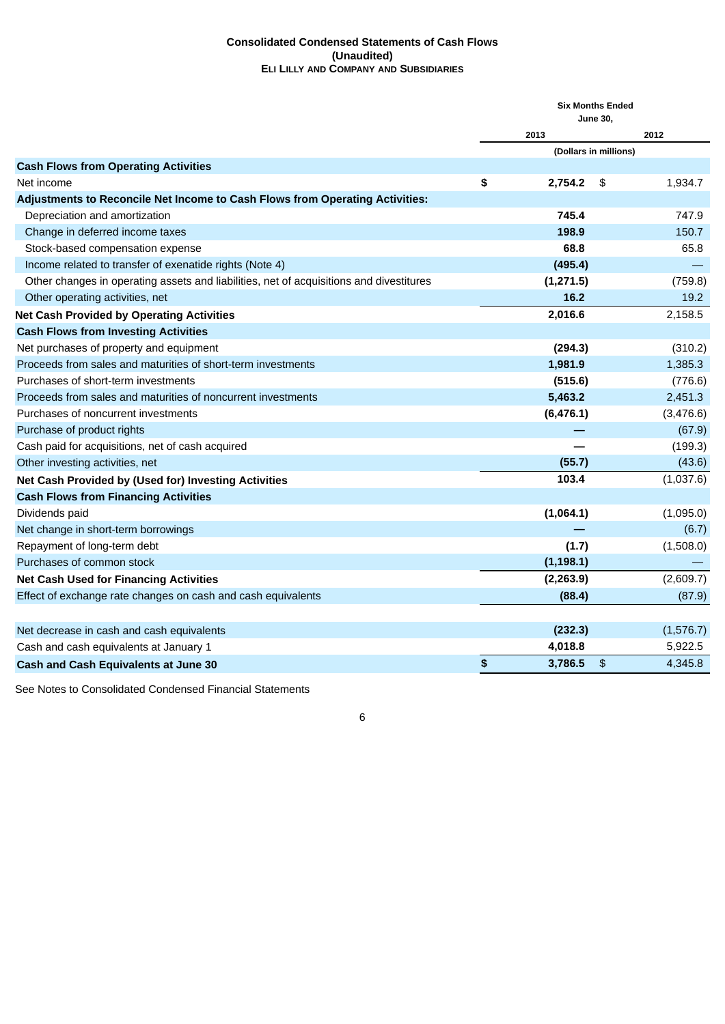#### **Consolidated Condensed Statements of Cash Flows (Unaudited) ELI LILLY AND COMPANY AND SUBSIDIARIES**

|                                                                                         |    | <b>Six Months Ended</b> |                |           |
|-----------------------------------------------------------------------------------------|----|-------------------------|----------------|-----------|
|                                                                                         |    |                         |                |           |
|                                                                                         |    | 2013                    |                | 2012      |
|                                                                                         |    | (Dollars in millions)   |                |           |
| <b>Cash Flows from Operating Activities</b>                                             |    |                         |                |           |
| Net income                                                                              | \$ | 2,754.2                 | \$             | 1,934.7   |
| <b>Adjustments to Reconcile Net Income to Cash Flows from Operating Activities:</b>     |    |                         |                |           |
| Depreciation and amortization                                                           |    | 745.4                   |                | 747.9     |
| Change in deferred income taxes                                                         |    | 198.9                   |                | 150.7     |
| Stock-based compensation expense                                                        |    | 68.8                    |                | 65.8      |
| Income related to transfer of exenatide rights (Note 4)                                 |    | (495.4)                 |                |           |
| Other changes in operating assets and liabilities, net of acquisitions and divestitures |    | (1, 271.5)              |                | (759.8)   |
| Other operating activities, net                                                         |    | 16.2                    |                | 19.2      |
| <b>Net Cash Provided by Operating Activities</b>                                        |    | 2,016.6                 |                | 2,158.5   |
| <b>Cash Flows from Investing Activities</b>                                             |    |                         |                |           |
| Net purchases of property and equipment                                                 |    | (294.3)                 |                | (310.2)   |
| Proceeds from sales and maturities of short-term investments                            |    | 1,981.9                 |                | 1,385.3   |
| Purchases of short-term investments                                                     |    | (515.6)                 |                | (776.6)   |
| Proceeds from sales and maturities of noncurrent investments                            |    | 5,463.2                 |                | 2,451.3   |
| Purchases of noncurrent investments                                                     |    | (6, 476.1)              |                | (3,476.6) |
| Purchase of product rights                                                              |    |                         |                | (67.9)    |
| Cash paid for acquisitions, net of cash acquired                                        |    |                         |                | (199.3)   |
| Other investing activities, net                                                         |    | (55.7)                  |                | (43.6)    |
| Net Cash Provided by (Used for) Investing Activities                                    |    | 103.4                   |                | (1,037.6) |
| <b>Cash Flows from Financing Activities</b>                                             |    |                         |                |           |
| Dividends paid                                                                          |    | (1,064.1)               |                | (1,095.0) |
| Net change in short-term borrowings                                                     |    |                         |                | (6.7)     |
| Repayment of long-term debt                                                             |    | (1.7)                   |                | (1,508.0) |
| Purchases of common stock                                                               |    | (1, 198.1)              |                |           |
| <b>Net Cash Used for Financing Activities</b>                                           |    | (2, 263.9)              |                | (2,609.7) |
| Effect of exchange rate changes on cash and cash equivalents                            |    | (88.4)                  |                | (87.9)    |
|                                                                                         |    |                         |                |           |
| Net decrease in cash and cash equivalents                                               |    | (232.3)                 |                | (1,576.7) |
| Cash and cash equivalents at January 1                                                  |    | 4,018.8                 |                | 5,922.5   |
| <b>Cash and Cash Equivalents at June 30</b>                                             | \$ | 3,786.5                 | $\mathfrak{P}$ | 4,345.8   |

See Notes to Consolidated Condensed Financial Statements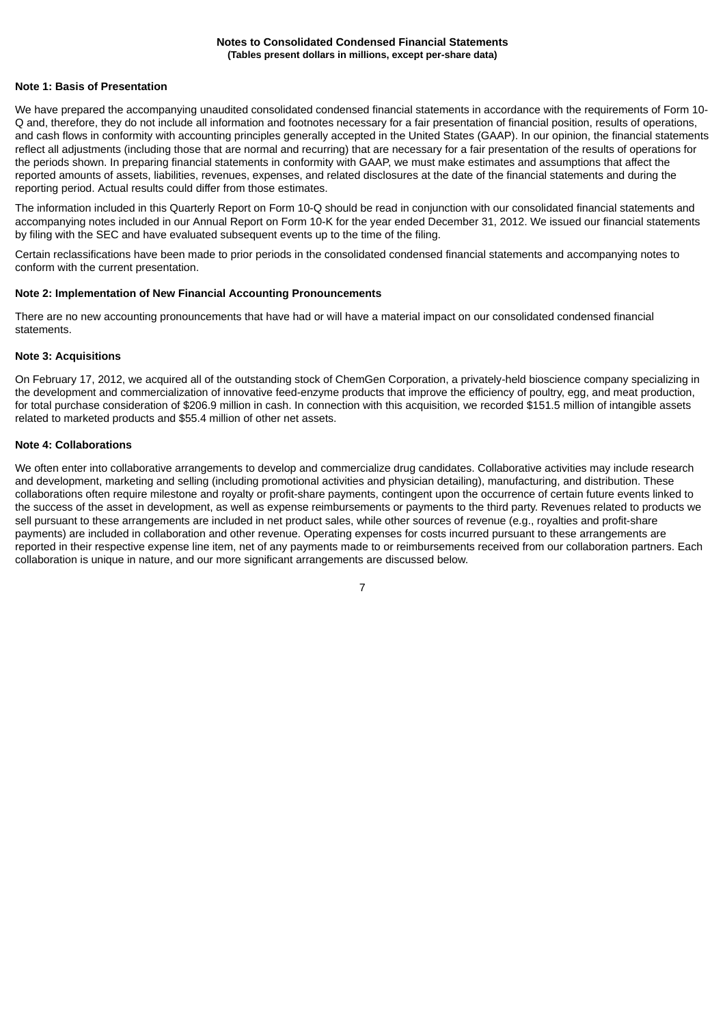#### **Notes to Consolidated Condensed Financial Statements (Tables present dollars in millions, except per-share data)**

#### **Note 1: Basis of Presentation**

We have prepared the accompanying unaudited consolidated condensed financial statements in accordance with the requirements of Form 10-Q and, therefore, they do not include all information and footnotes necessary for a fair presentation of financial position, results of operations, and cash flows in conformity with accounting principles generally accepted in the United States (GAAP). In our opinion, the financial statements reflect all adjustments (including those that are normal and recurring) that are necessary for a fair presentation of the results of operations for the periods shown. In preparing financial statements in conformity with GAAP, we must make estimates and assumptions that affect the reported amounts of assets, liabilities, revenues, expenses, and related disclosures at the date of the financial statements and during the reporting period. Actual results could differ from those estimates.

The information included in this Quarterly Report on Form 10-Q should be read in conjunction with our consolidated financial statements and accompanying notes included in our Annual Report on Form 10-K for the year ended December 31, 2012. We issued our financial statements by filing with the SEC and have evaluated subsequent events up to the time of the filing.

Certain reclassifications have been made to prior periods in the consolidated condensed financial statements and accompanying notes to conform with the current presentation.

#### **Note 2: Implementation of New Financial Accounting Pronouncements**

There are no new accounting pronouncements that have had or will have a material impact on our consolidated condensed financial statements.

#### **Note 3: Acquisitions**

On February 17, 2012, we acquired all of the outstanding stock of ChemGen Corporation, a privately-held bioscience company specializing in the development and commercialization of innovative feed-enzyme products that improve the efficiency of poultry, egg, and meat production, for total purchase consideration of \$206.9 million in cash. In connection with this acquisition, we recorded \$151.5 million of intangible assets related to marketed products and \$55.4 million of other net assets.

#### **Note 4: Collaborations**

We often enter into collaborative arrangements to develop and commercialize drug candidates. Collaborative activities may include research and development, marketing and selling (including promotional activities and physician detailing), manufacturing, and distribution. These collaborations often require milestone and royalty or profit-share payments, contingent upon the occurrence of certain future events linked to the success of the asset in development, as well as expense reimbursements or payments to the third party. Revenues related to products we sell pursuant to these arrangements are included in net product sales, while other sources of revenue (e.g., royalties and profit-share payments) are included in collaboration and other revenue. Operating expenses for costs incurred pursuant to these arrangements are reported in their respective expense line item, net of any payments made to or reimbursements received from our collaboration partners. Each collaboration is unique in nature, and our more significant arrangements are discussed below.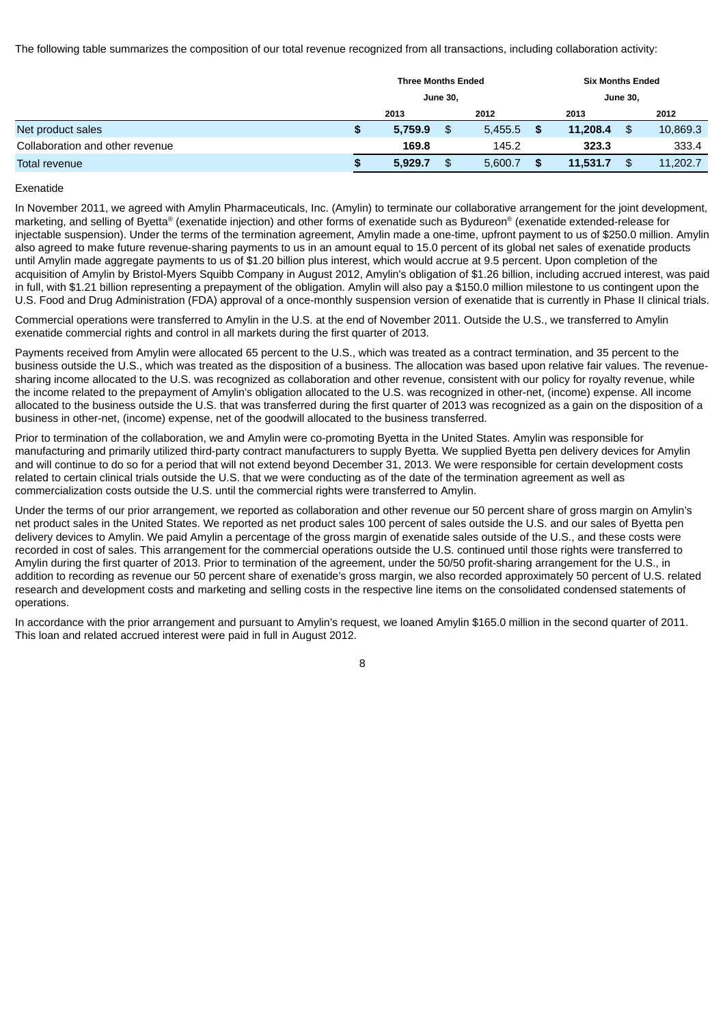The following table summarizes the composition of our total revenue recognized from all transactions, including collaboration activity:

|                                 | <b>Three Months Ended</b> |          |         | <b>Six Months Ended</b> |          |          |  |  |
|---------------------------------|---------------------------|----------|---------|-------------------------|----------|----------|--|--|
|                                 |                           | June 30, |         |                         | June 30, |          |  |  |
|                                 | 2013                      |          | 2012    | 2013                    |          | 2012     |  |  |
| Net product sales               | 5,759.9                   |          | 5,455.5 | \$<br>11,208.4          | \$       | 10,869.3 |  |  |
| Collaboration and other revenue | 169.8                     |          | 145.2   | 323.3                   |          | 333.4    |  |  |
| Total revenue                   | 5,929.7                   |          | 5,600.7 | \$<br>11,531.7          | \$       | 11,202.7 |  |  |

#### Exenatide

In November 2011, we agreed with Amylin Pharmaceuticals, Inc. (Amylin) to terminate our collaborative arrangement for the joint development, marketing, and selling of Byetta® (exenatide injection) and other forms of exenatide such as Bydureon® (exenatide extended-release for injectable suspension). Under the terms of the termination agreement, Amylin made a one-time, upfront payment to us of \$250.0 million. Amylin also agreed to make future revenue-sharing payments to us in an amount equal to 15.0 percent of its global net sales of exenatide products until Amylin made aggregate payments to us of \$1.20 billion plus interest, which would accrue at 9.5 percent. Upon completion of the acquisition of Amylin by Bristol-Myers Squibb Company in August 2012, Amylin's obligation of \$1.26 billion, including accrued interest, was paid in full, with \$1.21 billion representing a prepayment of the obligation. Amylin will also pay a \$150.0 million milestone to us contingent upon the U.S. Food and Drug Administration (FDA) approval of a once-monthly suspension version of exenatide that is currently in Phase II clinical trials.

Commercial operations were transferred to Amylin in the U.S. at the end of November 2011. Outside the U.S., we transferred to Amylin exenatide commercial rights and control in all markets during the first quarter of 2013.

Payments received from Amylin were allocated 65 percent to the U.S., which was treated as a contract termination, and 35 percent to the business outside the U.S., which was treated as the disposition of a business. The allocation was based upon relative fair values. The revenuesharing income allocated to the U.S. was recognized as collaboration and other revenue, consistent with our policy for royalty revenue, while the income related to the prepayment of Amylin's obligation allocated to the U.S. was recognized in other-net, (income) expense. All income allocated to the business outside the U.S. that was transferred during the first quarter of 2013 was recognized as a gain on the disposition of a business in other-net, (income) expense, net of the goodwill allocated to the business transferred.

Prior to termination of the collaboration, we and Amylin were co-promoting Byetta in the United States. Amylin was responsible for manufacturing and primarily utilized third-party contract manufacturers to supply Byetta. We supplied Byetta pen delivery devices for Amylin and will continue to do so for a period that will not extend beyond December 31, 2013. We were responsible for certain development costs related to certain clinical trials outside the U.S. that we were conducting as of the date of the termination agreement as well as commercialization costs outside the U.S. until the commercial rights were transferred to Amylin.

Under the terms of our prior arrangement, we reported as collaboration and other revenue our 50 percent share of gross margin on Amylin's net product sales in the United States. We reported as net product sales 100 percent of sales outside the U.S. and our sales of Byetta pen delivery devices to Amylin. We paid Amylin a percentage of the gross margin of exenatide sales outside of the U.S., and these costs were recorded in cost of sales. This arrangement for the commercial operations outside the U.S. continued until those rights were transferred to Amylin during the first quarter of 2013. Prior to termination of the agreement, under the 50/50 profit-sharing arrangement for the U.S., in addition to recording as revenue our 50 percent share of exenatide's gross margin, we also recorded approximately 50 percent of U.S. related research and development costs and marketing and selling costs in the respective line items on the consolidated condensed statements of operations.

In accordance with the prior arrangement and pursuant to Amylin's request, we loaned Amylin \$165.0 million in the second quarter of 2011. This loan and related accrued interest were paid in full in August 2012.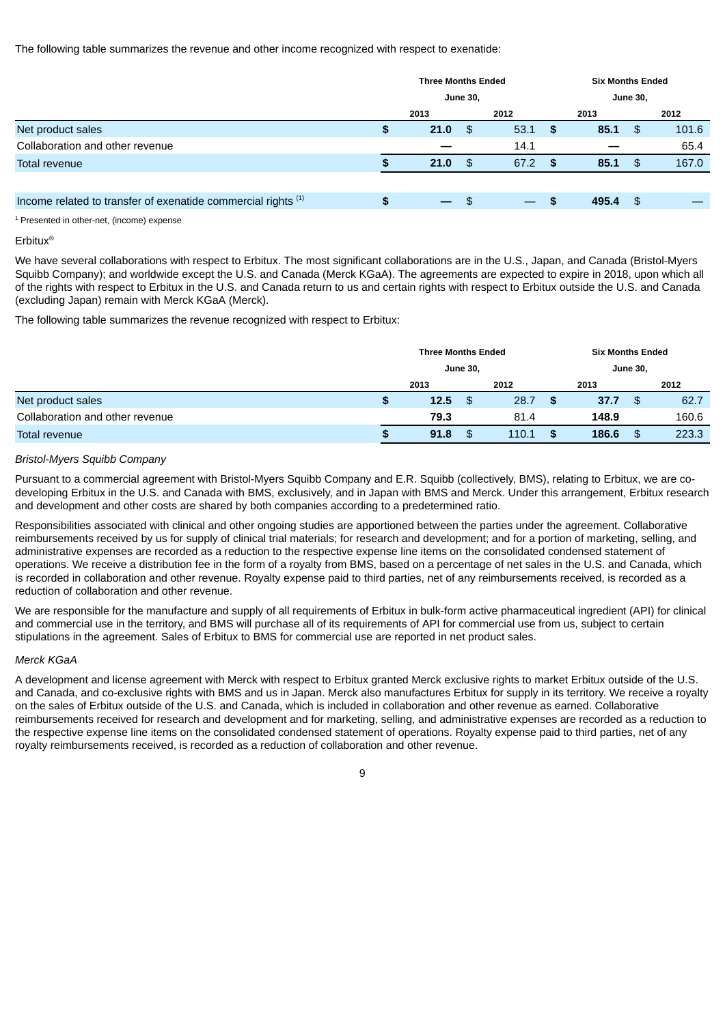The following table summarizes the revenue and other income recognized with respect to exenatide:

|                                                               | <b>Three Months Ended</b>      |          |      |      | <b>Six Months Ended</b> |      |       |  |  |
|---------------------------------------------------------------|--------------------------------|----------|------|------|-------------------------|------|-------|--|--|
|                                                               |                                | June 30, |      |      | June 30,                |      |       |  |  |
|                                                               | 2013                           |          | 2012 |      | 2013                    |      | 2012  |  |  |
| Net product sales                                             | \$<br>21.0                     | - \$     | 53.1 | - \$ | 85.1                    | - \$ | 101.6 |  |  |
| Collaboration and other revenue                               |                                |          | 14.1 |      |                         |      | 65.4  |  |  |
| Total revenue                                                 | 21.0                           | - \$     | 67.2 | - \$ | 85.1                    | - \$ | 167.0 |  |  |
|                                                               |                                |          |      |      |                         |      |       |  |  |
| Income related to transfer of exenatide commercial rights (1) | \$<br>$\overline{\phantom{0}}$ | - \$     |      | - S  | 495.4                   | -\$  |       |  |  |

<sup>1</sup> Presented in other-net, (income) expense

#### Erbitux ®

We have several collaborations with respect to Erbitux. The most significant collaborations are in the U.S., Japan, and Canada (Bristol-Myers Squibb Company); and worldwide except the U.S. and Canada (Merck KGaA). The agreements are expected to expire in 2018, upon which all of the rights with respect to Erbitux in the U.S. and Canada return to us and certain rights with respect to Erbitux outside the U.S. and Canada (excluding Japan) remain with Merck KGaA (Merck).

The following table summarizes the revenue recognized with respect to Erbitux:

|                                 |      | <b>Three Months Ended</b> |          |       |                 | <b>Six Months Ended</b> |      |       |      |      |     |      |
|---------------------------------|------|---------------------------|----------|-------|-----------------|-------------------------|------|-------|------|------|-----|------|
|                                 |      |                           | June 30, |       | <b>June 30,</b> |                         |      |       |      |      |     |      |
|                                 | 2013 |                           |          | 2012  |                 | 2013                    | 2012 |       |      |      |     |      |
| Net product sales               | \$   | 12.5<br>-\$               |          |       |                 |                         |      | 28.7  | - \$ | 37.7 | \$. | 62.7 |
| Collaboration and other revenue | 79.3 |                           |          | 81.4  |                 | 148.9                   |      | 160.6 |      |      |     |      |
| Total revenue                   | S    | 91.8                      | \$.      | 110.1 | \$              | 186.6                   |      | 223.3 |      |      |     |      |

#### *Bristol-Myers Squibb Company*

Pursuant to a commercial agreement with Bristol-Myers Squibb Company and E.R. Squibb (collectively, BMS), relating to Erbitux, we are codeveloping Erbitux in the U.S. and Canada with BMS, exclusively, and in Japan with BMS and Merck. Under this arrangement, Erbitux research and development and other costs are shared by both companies according to a predetermined ratio.

Responsibilities associated with clinical and other ongoing studies are apportioned between the parties under the agreement. Collaborative reimbursements received by us for supply of clinical trial materials; for research and development; and for a portion of marketing, selling, and administrative expenses are recorded as a reduction to the respective expense line items on the consolidated condensed statement of operations. We receive a distribution fee in the form of a royalty from BMS, based on a percentage of net sales in the U.S. and Canada, which is recorded in collaboration and other revenue. Royalty expense paid to third parties, net of any reimbursements received, is recorded as a reduction of collaboration and other revenue.

We are responsible for the manufacture and supply of all requirements of Erbitux in bulk-form active pharmaceutical ingredient (API) for clinical and commercial use in the territory, and BMS will purchase all of its requirements of API for commercial use from us, subject to certain stipulations in the agreement. Sales of Erbitux to BMS for commercial use are reported in net product sales.

#### *Merck KGaA*

A development and license agreement with Merck with respect to Erbitux granted Merck exclusive rights to market Erbitux outside of the U.S. and Canada, and co-exclusive rights with BMS and us in Japan. Merck also manufactures Erbitux for supply in its territory. We receive a royalty on the sales of Erbitux outside of the U.S. and Canada, which is included in collaboration and other revenue as earned. Collaborative reimbursements received for research and development and for marketing, selling, and administrative expenses are recorded as a reduction to the respective expense line items on the consolidated condensed statement of operations. Royalty expense paid to third parties, net of any royalty reimbursements received, is recorded as a reduction of collaboration and other revenue.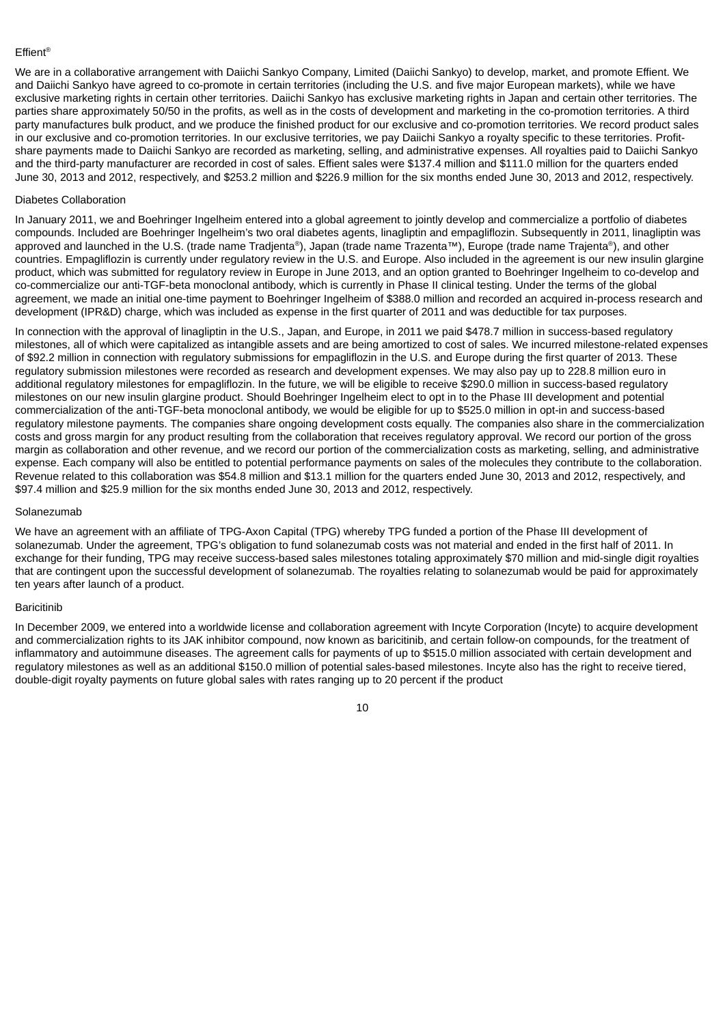#### Effient ®

We are in a collaborative arrangement with Daiichi Sankyo Company, Limited (Daiichi Sankyo) to develop, market, and promote Effient. We and Daiichi Sankyo have agreed to co-promote in certain territories (including the U.S. and five major European markets), while we have exclusive marketing rights in certain other territories. Daiichi Sankyo has exclusive marketing rights in Japan and certain other territories. The parties share approximately 50/50 in the profits, as well as in the costs of development and marketing in the co-promotion territories. A third party manufactures bulk product, and we produce the finished product for our exclusive and co-promotion territories. We record product sales in our exclusive and co-promotion territories. In our exclusive territories, we pay Daiichi Sankyo a royalty specific to these territories. Profitshare payments made to Daiichi Sankyo are recorded as marketing, selling, and administrative expenses. All royalties paid to Daiichi Sankyo and the third-party manufacturer are recorded in cost of sales. Effient sales were \$137.4 million and \$111.0 million for the quarters ended June 30, 2013 and 2012, respectively, and \$253.2 million and \$226.9 million for the six months ended June 30, 2013 and 2012, respectively.

#### Diabetes Collaboration

In January 2011, we and Boehringer Ingelheim entered into a global agreement to jointly develop and commercialize a portfolio of diabetes compounds. Included are Boehringer Ingelheim's two oral diabetes agents, linagliptin and empagliflozin. Subsequently in 2011, linagliptin was approved and launched in the U.S. (trade name Tradjenta®), Japan (trade name Trazenta™), Europe (trade name Trajenta®), and other countries. Empagliflozin is currently under regulatory review in the U.S. and Europe. Also included in the agreement is our new insulin glargine product, which was submitted for regulatory review in Europe in June 2013, and an option granted to Boehringer Ingelheim to co-develop and co-commercialize our anti-TGF-beta monoclonal antibody, which is currently in Phase II clinical testing. Under the terms of the global agreement, we made an initial one-time payment to Boehringer Ingelheim of \$388.0 million and recorded an acquired in-process research and development (IPR&D) charge, which was included as expense in the first quarter of 2011 and was deductible for tax purposes.

In connection with the approval of linagliptin in the U.S., Japan, and Europe, in 2011 we paid \$478.7 million in success-based regulatory milestones, all of which were capitalized as intangible assets and are being amortized to cost of sales. We incurred milestone-related expenses of \$92.2 million in connection with regulatory submissions for empagliflozin in the U.S. and Europe during the first quarter of 2013. These regulatory submission milestones were recorded as research and development expenses. We may also pay up to 228.8 million euro in additional regulatory milestones for empagliflozin. In the future, we will be eligible to receive \$290.0 million in success-based regulatory milestones on our new insulin glargine product. Should Boehringer Ingelheim elect to opt in to the Phase III development and potential commercialization of the anti-TGF-beta monoclonal antibody, we would be eligible for up to \$525.0 million in opt-in and success-based regulatory milestone payments. The companies share ongoing development costs equally. The companies also share in the commercialization costs and gross margin for any product resulting from the collaboration that receives regulatory approval. We record our portion of the gross margin as collaboration and other revenue, and we record our portion of the commercialization costs as marketing, selling, and administrative expense. Each company will also be entitled to potential performance payments on sales of the molecules they contribute to the collaboration. Revenue related to this collaboration was \$54.8 million and \$13.1 million for the quarters ended June 30, 2013 and 2012, respectively, and \$97.4 million and \$25.9 million for the six months ended June 30, 2013 and 2012, respectively.

#### Solanezumab

We have an agreement with an affiliate of TPG-Axon Capital (TPG) whereby TPG funded a portion of the Phase III development of solanezumab. Under the agreement, TPG's obligation to fund solanezumab costs was not material and ended in the first half of 2011. In exchange for their funding, TPG may receive success-based sales milestones totaling approximately \$70 million and mid-single digit royalties that are contingent upon the successful development of solanezumab. The royalties relating to solanezumab would be paid for approximately ten years after launch of a product.

#### **Baricitinib**

In December 2009, we entered into a worldwide license and collaboration agreement with Incyte Corporation (Incyte) to acquire development and commercialization rights to its JAK inhibitor compound, now known as baricitinib, and certain follow-on compounds, for the treatment of inflammatory and autoimmune diseases. The agreement calls for payments of up to \$515.0 million associated with certain development and regulatory milestones as well as an additional \$150.0 million of potential sales-based milestones. Incyte also has the right to receive tiered, double-digit royalty payments on future global sales with rates ranging up to 20 percent if the product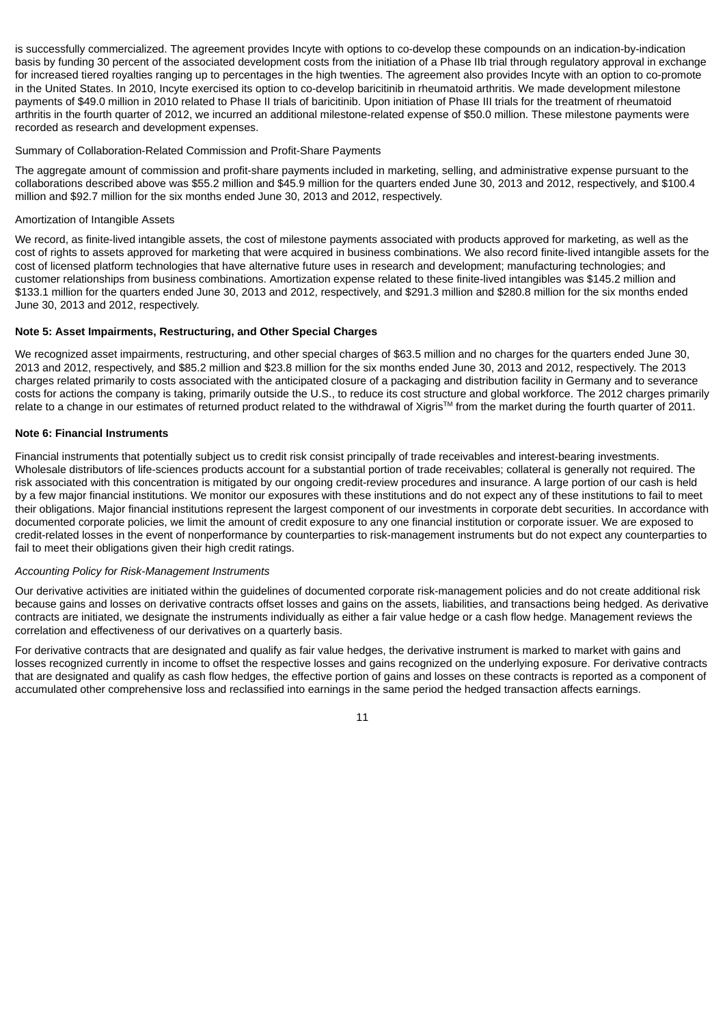is successfully commercialized. The agreement provides Incyte with options to co-develop these compounds on an indication-by-indication basis by funding 30 percent of the associated development costs from the initiation of a Phase IIb trial through regulatory approval in exchange for increased tiered royalties ranging up to percentages in the high twenties. The agreement also provides Incyte with an option to co-promote in the United States. In 2010, Incyte exercised its option to co-develop baricitinib in rheumatoid arthritis. We made development milestone payments of \$49.0 million in 2010 related to Phase II trials of baricitinib. Upon initiation of Phase III trials for the treatment of rheumatoid arthritis in the fourth quarter of 2012, we incurred an additional milestone-related expense of \$50.0 million. These milestone payments were recorded as research and development expenses.

#### Summary of Collaboration-Related Commission and Profit-Share Payments

The aggregate amount of commission and profit-share payments included in marketing, selling, and administrative expense pursuant to the collaborations described above was \$55.2 million and \$45.9 million for the quarters ended June 30, 2013 and 2012, respectively, and \$100.4 million and \$92.7 million for the six months ended June 30, 2013 and 2012, respectively.

#### Amortization of Intangible Assets

We record, as finite-lived intangible assets, the cost of milestone payments associated with products approved for marketing, as well as the cost of rights to assets approved for marketing that were acquired in business combinations. We also record finite-lived intangible assets for the cost of licensed platform technologies that have alternative future uses in research and development; manufacturing technologies; and customer relationships from business combinations. Amortization expense related to these finite-lived intangibles was \$145.2 million and \$133.1 million for the quarters ended June 30, 2013 and 2012, respectively, and \$291.3 million and \$280.8 million for the six months ended June 30, 2013 and 2012, respectively.

#### **Note 5: Asset Impairments, Restructuring, and Other Special Charges**

We recognized asset impairments, restructuring, and other special charges of \$63.5 million and no charges for the quarters ended June 30, 2013 and 2012, respectively, and \$85.2 million and \$23.8 million for the six months ended June 30, 2013 and 2012, respectively. The 2013 charges related primarily to costs associated with the anticipated closure of a packaging and distribution facility in Germany and to severance costs for actions the company is taking, primarily outside the U.S., to reduce its cost structure and global workforce. The 2012 charges primarily relate to a change in our estimates of returned product related to the withdrawal of Xigris™ from the market during the fourth quarter of 2011.

#### **Note 6: Financial Instruments**

Financial instruments that potentially subject us to credit risk consist principally of trade receivables and interest-bearing investments. Wholesale distributors of life-sciences products account for a substantial portion of trade receivables; collateral is generally not required. The risk associated with this concentration is mitigated by our ongoing credit-review procedures and insurance. A large portion of our cash is held by a few major financial institutions. We monitor our exposures with these institutions and do not expect any of these institutions to fail to meet their obligations. Major financial institutions represent the largest component of our investments in corporate debt securities. In accordance with documented corporate policies, we limit the amount of credit exposure to any one financial institution or corporate issuer. We are exposed to credit-related losses in the event of nonperformance by counterparties to risk-management instruments but do not expect any counterparties to fail to meet their obligations given their high credit ratings.

#### *Accounting Policy for Risk-Management Instruments*

Our derivative activities are initiated within the guidelines of documented corporate risk-management policies and do not create additional risk because gains and losses on derivative contracts offset losses and gains on the assets, liabilities, and transactions being hedged. As derivative contracts are initiated, we designate the instruments individually as either a fair value hedge or a cash flow hedge. Management reviews the correlation and effectiveness of our derivatives on a quarterly basis.

For derivative contracts that are designated and qualify as fair value hedges, the derivative instrument is marked to market with gains and losses recognized currently in income to offset the respective losses and gains recognized on the underlying exposure. For derivative contracts that are designated and qualify as cash flow hedges, the effective portion of gains and losses on these contracts is reported as a component of accumulated other comprehensive loss and reclassified into earnings in the same period the hedged transaction affects earnings.

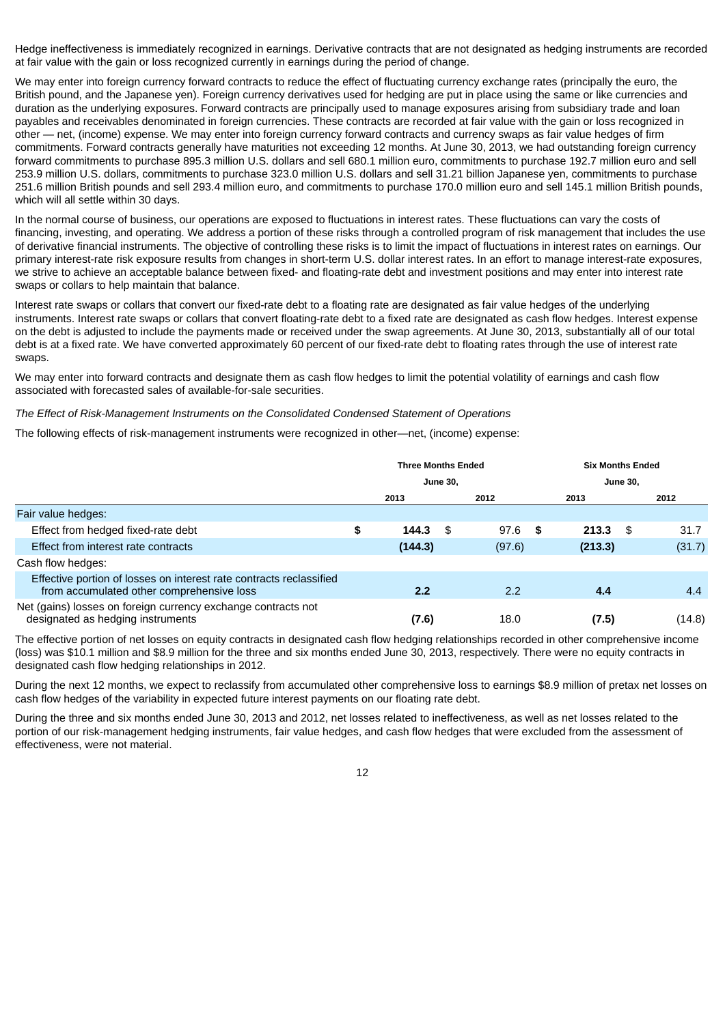Hedge ineffectiveness is immediately recognized in earnings. Derivative contracts that are not designated as hedging instruments are recorded at fair value with the gain or loss recognized currently in earnings during the period of change.

We may enter into foreign currency forward contracts to reduce the effect of fluctuating currency exchange rates (principally the euro, the British pound, and the Japanese yen). Foreign currency derivatives used for hedging are put in place using the same or like currencies and duration as the underlying exposures. Forward contracts are principally used to manage exposures arising from subsidiary trade and loan payables and receivables denominated in foreign currencies. These contracts are recorded at fair value with the gain or loss recognized in other *—* net, (income) expense. We may enter into foreign currency forward contracts and currency swaps as fair value hedges of firm commitments. Forward contracts generally have maturities not exceeding 12 months. At June 30, 2013, we had outstanding foreign currency forward commitments to purchase 895.3 million U.S. dollars and sell 680.1 million euro, commitments to purchase 192.7 million euro and sell 253.9 million U.S. dollars, commitments to purchase 323.0 million U.S. dollars and sell 31.21 billion Japanese yen, commitments to purchase 251.6 million British pounds and sell 293.4 million euro, and commitments to purchase 170.0 million euro and sell 145.1 million British pounds, which will all settle within 30 days.

In the normal course of business, our operations are exposed to fluctuations in interest rates. These fluctuations can vary the costs of financing, investing, and operating. We address a portion of these risks through a controlled program of risk management that includes the use of derivative financial instruments. The objective of controlling these risks is to limit the impact of fluctuations in interest rates on earnings. Our primary interest-rate risk exposure results from changes in short-term U.S. dollar interest rates. In an effort to manage interest-rate exposures, we strive to achieve an acceptable balance between fixed- and floating-rate debt and investment positions and may enter into interest rate swaps or collars to help maintain that balance.

Interest rate swaps or collars that convert our fixed-rate debt to a floating rate are designated as fair value hedges of the underlying instruments. Interest rate swaps or collars that convert floating-rate debt to a fixed rate are designated as cash flow hedges. Interest expense on the debt is adjusted to include the payments made or received under the swap agreements. At June 30, 2013, substantially all of our total debt is at a fixed rate. We have converted approximately 60 percent of our fixed-rate debt to floating rates through the use of interest rate swaps.

We may enter into forward contracts and designate them as cash flow hedges to limit the potential volatility of earnings and cash flow associated with forecasted sales of available-for-sale securities.

#### *The Effect of Risk-Management Instruments on the Consolidated Condensed Statement of Operations*

The following effects of risk-management instruments were recognized in other—net, (income) expense:

|                                                                                                                  | <b>Three Months Ended</b> |                 | <b>Six Months Ended</b> |    |                 |      |        |  |
|------------------------------------------------------------------------------------------------------------------|---------------------------|-----------------|-------------------------|----|-----------------|------|--------|--|
|                                                                                                                  |                           | <b>June 30.</b> |                         |    | <b>June 30.</b> |      |        |  |
|                                                                                                                  | 2013<br>2012              |                 |                         |    | 2013            |      | 2012   |  |
| Fair value hedges:                                                                                               |                           |                 |                         |    |                 |      |        |  |
| Effect from hedged fixed-rate debt                                                                               | \$<br>144.3               | - \$            | 97.6                    | S. | 213.3           | - \$ | 31.7   |  |
| Effect from interest rate contracts                                                                              | (144.3)                   |                 | (97.6)                  |    | (213.3)         |      | (31.7) |  |
| Cash flow hedges:                                                                                                |                           |                 |                         |    |                 |      |        |  |
| Effective portion of losses on interest rate contracts reclassified<br>from accumulated other comprehensive loss | 2.2                       |                 | 2.2                     |    | 4.4             |      | 4.4    |  |
| Net (gains) losses on foreign currency exchange contracts not<br>designated as hedging instruments               | (7.6)                     |                 | 18.0                    |    | (7.5)           |      | (14.8) |  |

The effective portion of net losses on equity contracts in designated cash flow hedging relationships recorded in other comprehensive income (loss) was \$10.1 million and \$8.9 million for the three and six months ended June 30, 2013, respectively. There were no equity contracts in designated cash flow hedging relationships in 2012.

During the next 12 months, we expect to reclassify from accumulated other comprehensive loss to earnings \$8.9 million of pretax net losses on cash flow hedges of the variability in expected future interest payments on our floating rate debt.

During the three and six months ended June 30, 2013 and 2012, net losses related to ineffectiveness, as well as net losses related to the portion of our risk-management hedging instruments, fair value hedges, and cash flow hedges that were excluded from the assessment of effectiveness, were not material.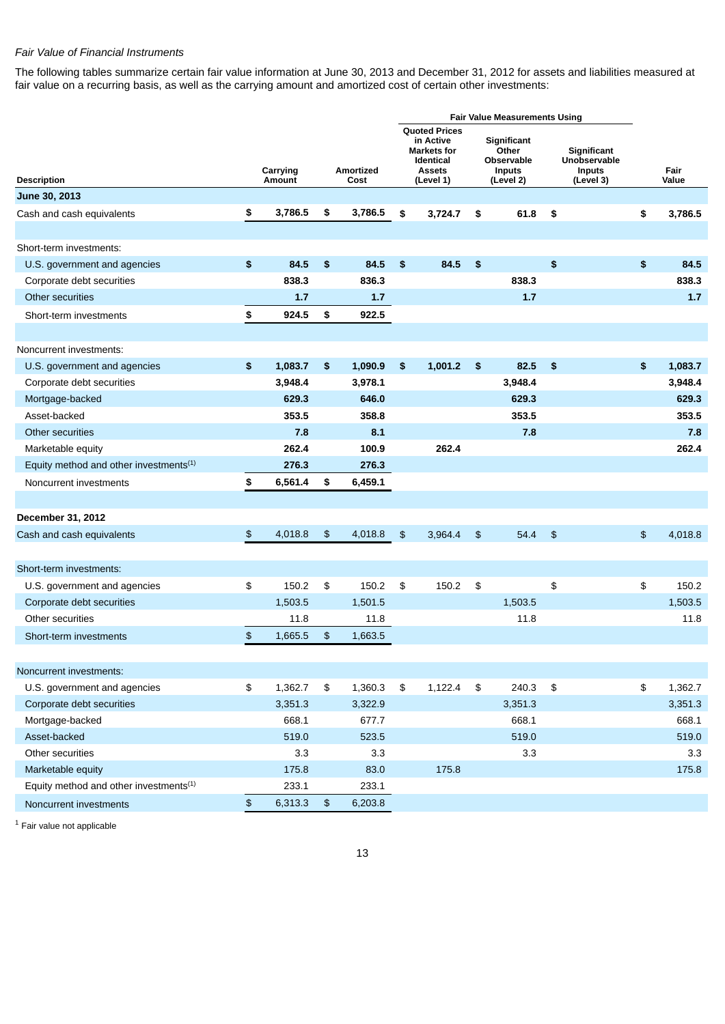# *Fair Value of Financial Instruments*

The following tables summarize certain fair value information at June 30, 2013 and December 31, 2012 for assets and liabilities measured at fair value on a recurring basis, as well as the carrying amount and amortized cost of certain other investments:

|                                                    |                |                    |                           |                   | <b>Fair Value Measurements Using</b> |                                                                                                    |                           |                                                                         |                                                           |               |               |
|----------------------------------------------------|----------------|--------------------|---------------------------|-------------------|--------------------------------------|----------------------------------------------------------------------------------------------------|---------------------------|-------------------------------------------------------------------------|-----------------------------------------------------------|---------------|---------------|
| <b>Description</b>                                 |                | Carrying<br>Amount |                           | Amortized<br>Cost |                                      | <b>Ouoted Prices</b><br>in Active<br><b>Markets for</b><br>Identical<br><b>Assets</b><br>(Level 1) |                           | Significant<br>Other<br><b>Observable</b><br><b>Inputs</b><br>(Level 2) | Significant<br>Unobservable<br><b>Inputs</b><br>(Level 3) |               | Fair<br>Value |
| June 30, 2013                                      |                |                    |                           |                   |                                      |                                                                                                    |                           |                                                                         |                                                           |               |               |
| Cash and cash equivalents                          | \$             | 3,786.5            | \$                        | 3,786.5           | \$                                   | 3,724.7                                                                                            | \$                        | 61.8                                                                    | - \$                                                      | \$            | 3,786.5       |
|                                                    |                |                    |                           |                   |                                      |                                                                                                    |                           |                                                                         |                                                           |               |               |
| Short-term investments:                            |                |                    |                           |                   |                                      |                                                                                                    |                           |                                                                         |                                                           |               |               |
| U.S. government and agencies                       | \$             | 84.5               | \$                        | 84.5              | \$                                   | 84.5                                                                                               | \$                        |                                                                         | \$                                                        | \$            | 84.5          |
| Corporate debt securities                          |                | 838.3              |                           | 836.3             |                                      |                                                                                                    |                           | 838.3                                                                   |                                                           |               | 838.3         |
| <b>Other securities</b>                            |                | 1.7                |                           | 1.7               |                                      |                                                                                                    |                           | 1.7                                                                     |                                                           |               | 1.7           |
| Short-term investments                             | \$             | 924.5              | \$                        | 922.5             |                                      |                                                                                                    |                           |                                                                         |                                                           |               |               |
| Noncurrent investments:                            |                |                    |                           |                   |                                      |                                                                                                    |                           |                                                                         |                                                           |               |               |
| U.S. government and agencies                       | \$             | 1,083.7            | \$                        | 1,090.9           | \$                                   | 1,001.2                                                                                            | - \$                      | 82.5                                                                    | \$                                                        | \$            | 1,083.7       |
| Corporate debt securities                          |                | 3,948.4            |                           | 3,978.1           |                                      |                                                                                                    |                           | 3,948.4                                                                 |                                                           |               | 3,948.4       |
| Mortgage-backed                                    |                | 629.3              |                           | 646.0             |                                      |                                                                                                    |                           | 629.3                                                                   |                                                           |               | 629.3         |
| Asset-backed                                       |                | 353.5              |                           | 358.8             |                                      |                                                                                                    |                           | 353.5                                                                   |                                                           |               | 353.5         |
| Other securities                                   |                | 7.8                |                           | 8.1               |                                      |                                                                                                    |                           | 7.8                                                                     |                                                           |               | 7.8           |
| Marketable equity                                  |                | 262.4              |                           | 100.9             |                                      | 262.4                                                                                              |                           |                                                                         |                                                           |               | 262.4         |
| Equity method and other investments <sup>(1)</sup> |                | 276.3              |                           | 276.3             |                                      |                                                                                                    |                           |                                                                         |                                                           |               |               |
| Noncurrent investments                             | \$             | 6,561.4            | \$                        | 6,459.1           |                                      |                                                                                                    |                           |                                                                         |                                                           |               |               |
|                                                    |                |                    |                           |                   |                                      |                                                                                                    |                           |                                                                         |                                                           |               |               |
| December 31, 2012                                  |                |                    |                           |                   |                                      |                                                                                                    |                           |                                                                         |                                                           |               |               |
| Cash and cash equivalents                          | $\frac{1}{2}$  | 4,018.8            | $\frac{1}{2}$             | 4,018.8           | $\frac{2}{3}$                        | 3,964.4                                                                                            | $\frac{3}{2}$             | 54.4                                                                    | $\bullet$                                                 | $\frac{2}{3}$ | 4,018.8       |
|                                                    |                |                    |                           |                   |                                      |                                                                                                    |                           |                                                                         |                                                           |               |               |
| Short-term investments:                            |                |                    |                           |                   |                                      |                                                                                                    |                           |                                                                         |                                                           |               |               |
| U.S. government and agencies                       | \$             | 150.2              | \$                        | 150.2             | \$                                   | 150.2                                                                                              | $\boldsymbol{\mathsf{s}}$ |                                                                         | \$                                                        | \$            | 150.2         |
| Corporate debt securities                          |                | 1,503.5            |                           | 1,501.5           |                                      |                                                                                                    |                           | 1,503.5                                                                 |                                                           |               | 1,503.5       |
| Other securities                                   |                | 11.8               |                           | 11.8              |                                      |                                                                                                    |                           | 11.8                                                                    |                                                           |               | 11.8          |
| Short-term investments                             | $\mathfrak{L}$ | 1,665.5            | $\frac{2}{3}$             | 1,663.5           |                                      |                                                                                                    |                           |                                                                         |                                                           |               |               |
|                                                    |                |                    |                           |                   |                                      |                                                                                                    |                           |                                                                         |                                                           |               |               |
| Noncurrent investments:                            |                |                    |                           |                   |                                      |                                                                                                    |                           |                                                                         |                                                           |               |               |
| U.S. government and agencies                       | \$             | 1,362.7            | $\frac{1}{2}$             | 1,360.3           | $\pmb{\mathfrak{P}}$                 | 1,122.4                                                                                            | $\sqrt{3}$                | 240.3                                                                   | $\,$ $\,$                                                 | \$            | 1,362.7       |
| Corporate debt securities                          |                | 3,351.3            |                           | 3,322.9           |                                      |                                                                                                    |                           | 3,351.3                                                                 |                                                           |               | 3,351.3       |
| Mortgage-backed                                    |                | 668.1              |                           | 677.7             |                                      |                                                                                                    |                           | 668.1                                                                   |                                                           |               | 668.1         |
| Asset-backed                                       |                | 519.0              |                           | 523.5             |                                      |                                                                                                    |                           | 519.0                                                                   |                                                           |               | 519.0         |
| Other securities                                   |                | 3.3                |                           | 3.3               |                                      |                                                                                                    |                           | 3.3                                                                     |                                                           |               | 3.3           |
| Marketable equity                                  |                | 175.8              |                           | 83.0              |                                      | 175.8                                                                                              |                           |                                                                         |                                                           |               | 175.8         |
| Equity method and other investments <sup>(1)</sup> |                | 233.1              |                           | 233.1             |                                      |                                                                                                    |                           |                                                                         |                                                           |               |               |
| Noncurrent investments                             | $\frac{2}{3}$  | 6,313.3            | $\boldsymbol{\mathsf{D}}$ | 6,203.8           |                                      |                                                                                                    |                           |                                                                         |                                                           |               |               |
|                                                    |                |                    |                           |                   |                                      |                                                                                                    |                           |                                                                         |                                                           |               |               |

 $1$  Fair value not applicable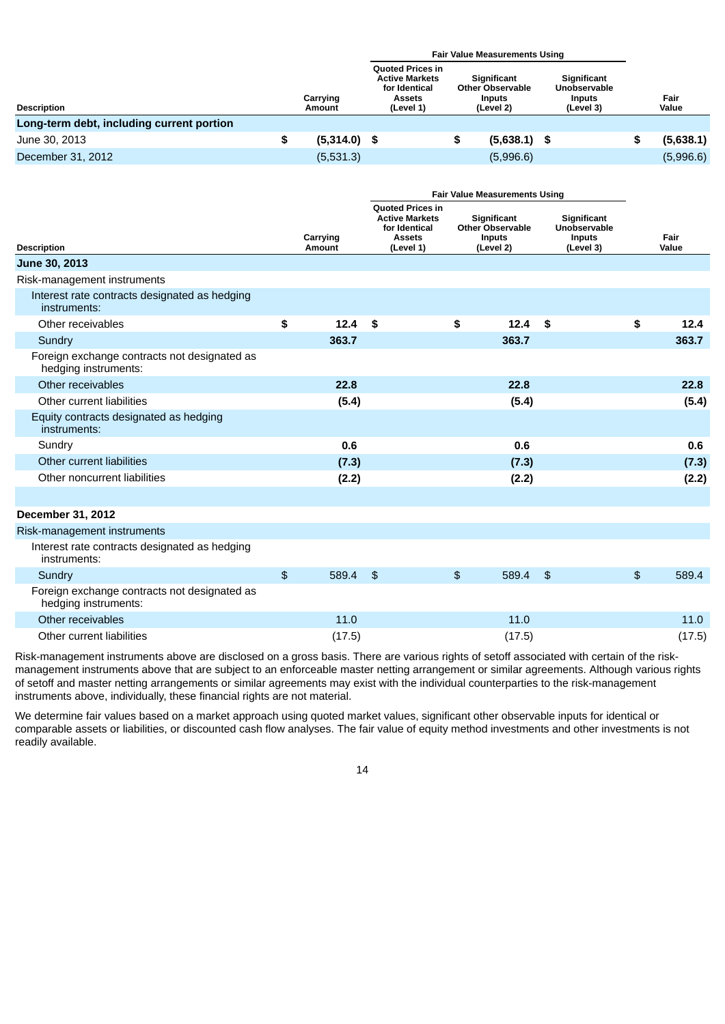| <b>Description</b>                                                   |               | Carrying<br>Amount | <b>Quoted Prices in</b><br><b>Active Markets</b><br>for Identical<br><b>Assets</b><br>(Level 1) |                | Significant<br><b>Other Observable</b><br><b>Inputs</b><br>(Level 2) | Significant<br>Unobservable<br><b>Inputs</b><br>(Level 3) | Fair<br>Value   |
|----------------------------------------------------------------------|---------------|--------------------|-------------------------------------------------------------------------------------------------|----------------|----------------------------------------------------------------------|-----------------------------------------------------------|-----------------|
| Long-term debt, including current portion                            |               |                    |                                                                                                 |                |                                                                      |                                                           |                 |
| June 30, 2013                                                        | \$            | $(5,314.0)$ \$     |                                                                                                 | \$             | $(5,638.1)$ \$                                                       |                                                           | \$<br>(5,638.1) |
| December 31, 2012                                                    |               | (5,531.3)          |                                                                                                 |                | (5,996.6)                                                            |                                                           | (5,996.6)       |
|                                                                      |               |                    |                                                                                                 |                | <b>Fair Value Measurements Using</b>                                 |                                                           |                 |
| <b>Description</b>                                                   |               | Carrying<br>Amount | <b>Ouoted Prices in</b><br><b>Active Markets</b><br>for Identical<br><b>Assets</b><br>(Level 1) |                | Significant<br><b>Other Observable</b><br>Inputs<br>(Level 2)        | Significant<br>Unobservable<br><b>Inputs</b><br>(Level 3) | Fair<br>Value   |
| June 30, 2013                                                        |               |                    |                                                                                                 |                |                                                                      |                                                           |                 |
| Risk-management instruments                                          |               |                    |                                                                                                 |                |                                                                      |                                                           |                 |
| Interest rate contracts designated as hedging<br>instruments:        |               |                    |                                                                                                 |                |                                                                      |                                                           |                 |
| Other receivables                                                    | \$            | 12.4               | \$                                                                                              | \$             | 12.4                                                                 | \$                                                        | \$<br>12.4      |
| Sundry                                                               |               | 363.7              |                                                                                                 |                | 363.7                                                                |                                                           | 363.7           |
| Foreign exchange contracts not designated as<br>hedging instruments: |               |                    |                                                                                                 |                |                                                                      |                                                           |                 |
| Other receivables                                                    |               | 22.8               |                                                                                                 |                | 22.8                                                                 |                                                           | 22.8            |
| Other current liabilities                                            |               | (5.4)              |                                                                                                 |                | (5.4)                                                                |                                                           | (5.4)           |
| Equity contracts designated as hedging<br>instruments:               |               |                    |                                                                                                 |                |                                                                      |                                                           |                 |
| Sundry                                                               |               | 0.6                |                                                                                                 |                | 0.6                                                                  |                                                           | 0.6             |
| Other current liabilities                                            |               | (7.3)              |                                                                                                 |                | (7.3)                                                                |                                                           | (7.3)           |
| Other noncurrent liabilities                                         |               | (2.2)              |                                                                                                 |                | (2.2)                                                                |                                                           | (2.2)           |
|                                                                      |               |                    |                                                                                                 |                |                                                                      |                                                           |                 |
| December 31, 2012                                                    |               |                    |                                                                                                 |                |                                                                      |                                                           |                 |
| Risk-management instruments                                          |               |                    |                                                                                                 |                |                                                                      |                                                           |                 |
| Interest rate contracts designated as hedging<br>instruments:        |               |                    |                                                                                                 |                |                                                                      |                                                           |                 |
| Sundry                                                               | $\frac{1}{2}$ | 589.4              | \$                                                                                              | $\mathfrak{P}$ | 589.4                                                                | $\frac{4}{5}$                                             | \$<br>589.4     |
| Foreign exchange contracts not designated as<br>hedging instruments: |               |                    |                                                                                                 |                |                                                                      |                                                           |                 |
| Other receivables                                                    |               | 11.0               |                                                                                                 |                | 11.0                                                                 |                                                           | 11.0            |
| Other current liabilities                                            |               | (17.5)             |                                                                                                 |                | (17.5)                                                               |                                                           | (17.5)          |

Risk-management instruments above are disclosed on a gross basis. There are various rights of setoff associated with certain of the riskmanagement instruments above that are subject to an enforceable master netting arrangement or similar agreements. Although various rights of setoff and master netting arrangements or similar agreements may exist with the individual counterparties to the risk-management instruments above, individually, these financial rights are not material.

We determine fair values based on a market approach using quoted market values, significant other observable inputs for identical or comparable assets or liabilities, or discounted cash flow analyses. The fair value of equity method investments and other investments is not readily available.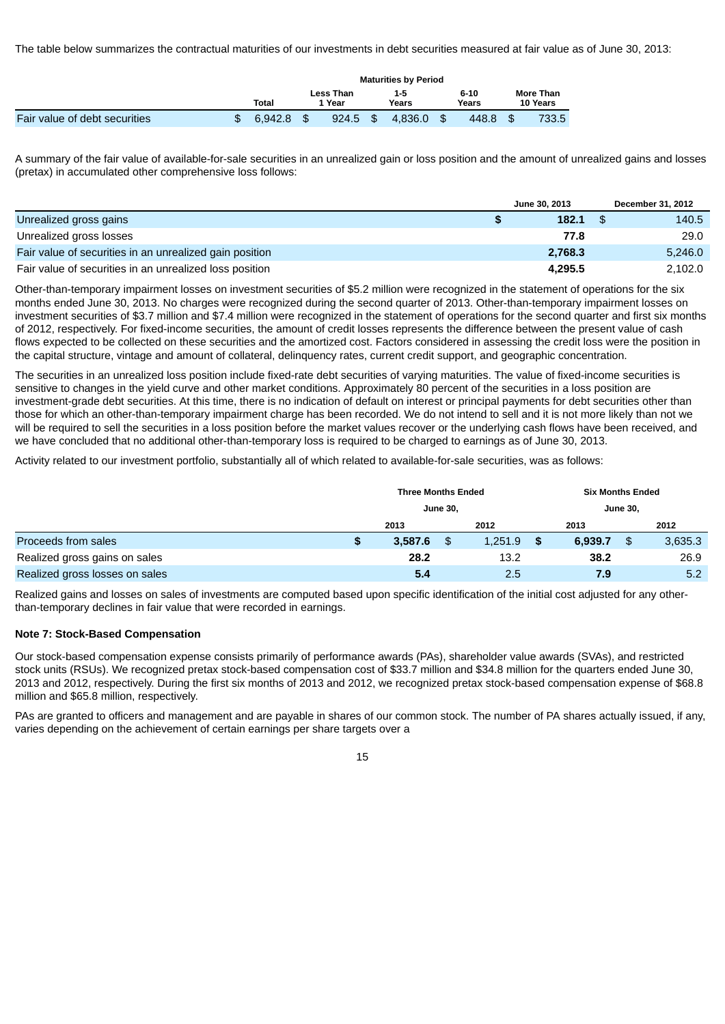The table below summarizes the contractual maturities of our investments in debt securities measured at fair value as of June 30, 2013:

|                                      |         |                            |      | <b>Maturities by Period</b> |                   |                                     |
|--------------------------------------|---------|----------------------------|------|-----------------------------|-------------------|-------------------------------------|
|                                      | Total   | <b>Less Than</b><br>1 Year |      | 1-5<br>Years                | $6 - 10$<br>Years | <b>More Than</b><br><b>10 Years</b> |
| <b>Fair value of debt securities</b> | 6.942.8 | 924.5                      | - \$ | 4.836.0                     | 448.8             | 733.5                               |

A summary of the fair value of available-for-sale securities in an unrealized gain or loss position and the amount of unrealized gains and losses (pretax) in accumulated other comprehensive loss follows:

|                                                         | <b>June 30, 2013</b> | December 31, 2012 |
|---------------------------------------------------------|----------------------|-------------------|
| Unrealized gross gains                                  | 182.1                | 140.5             |
| Unrealized gross losses                                 | 77.8                 | 29.0              |
| Fair value of securities in an unrealized gain position | 2.768.3              | 5.246.0           |
| Fair value of securities in an unrealized loss position | 4,295.5              | 2,102.0           |

Other-than-temporary impairment losses on investment securities of \$5.2 million were recognized in the statement of operations for the six months ended June 30, 2013. No charges were recognized during the second quarter of 2013. Other-than-temporary impairment losses on investment securities of \$3.7 million and \$7.4 million were recognized in the statement of operations for the second quarter and first six months of 2012, respectively. For fixed-income securities, the amount of credit losses represents the difference between the present value of cash flows expected to be collected on these securities and the amortized cost. Factors considered in assessing the credit loss were the position in the capital structure, vintage and amount of collateral, delinquency rates, current credit support, and geographic concentration.

The securities in an unrealized loss position include fixed-rate debt securities of varying maturities. The value of fixed-income securities is sensitive to changes in the yield curve and other market conditions. Approximately 80 percent of the securities in a loss position are investment-grade debt securities. At this time, there is no indication of default on interest or principal payments for debt securities other than those for which an other-than-temporary impairment charge has been recorded. We do not intend to sell and it is not more likely than not we will be required to sell the securities in a loss position before the market values recover or the underlying cash flows have been received, and we have concluded that no additional other-than-temporary loss is required to be charged to earnings as of June 30, 2013.

Activity related to our investment portfolio, substantially all of which related to available-for-sale securities, was as follows:

|                                | <b>Three Months Ended</b> |          |         |          | <b>Six Months Ended</b> |    |         |  |
|--------------------------------|---------------------------|----------|---------|----------|-------------------------|----|---------|--|
|                                |                           | June 30, |         | June 30, |                         |    |         |  |
|                                | 2013                      |          | 2012    |          | 2013                    |    | 2012    |  |
| <b>Proceeds from sales</b>     | 3,587.6                   | - S      | 1,251.9 | \$       | 6,939.7                 | \$ | 3,635.3 |  |
| Realized gross gains on sales  | 28.2                      |          | 13.2    |          | 38.2                    |    | 26.9    |  |
| Realized gross losses on sales | 5.4                       |          | 2.5     |          | 7.9                     |    | 5.2     |  |

Realized gains and losses on sales of investments are computed based upon specific identification of the initial cost adjusted for any otherthan-temporary declines in fair value that were recorded in earnings.

#### **Note 7: Stock-Based Compensation**

Our stock-based compensation expense consists primarily of performance awards (PAs), shareholder value awards (SVAs), and restricted stock units (RSUs). We recognized pretax stock-based compensation cost of \$33.7 million and \$34.8 million for the quarters ended June 30. 2013 and 2012, respectively. During the first six months of 2013 and 2012, we recognized pretax stock-based compensation expense of \$68.8 million and \$65.8 million, respectively.

PAs are granted to officers and management and are payable in shares of our common stock. The number of PA shares actually issued, if any, varies depending on the achievement of certain earnings per share targets over a

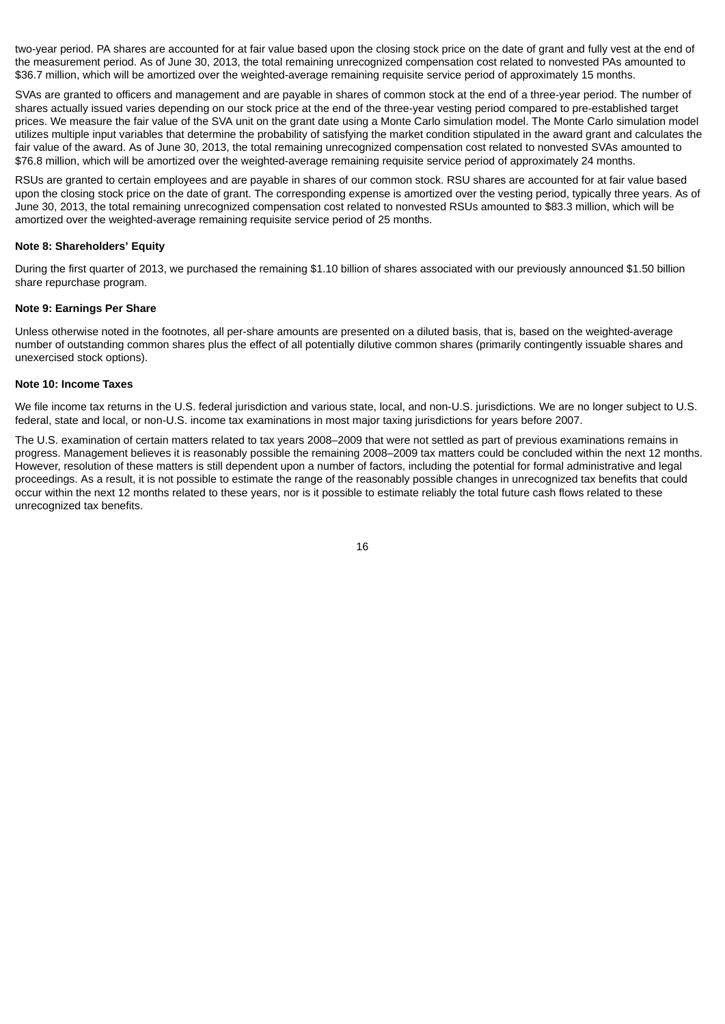two-year period. PA shares are accounted for at fair value based upon the closing stock price on the date of grant and fully vest at the end of the measurement period. As of June 30, 2013, the total remaining unrecognized compensation cost related to nonvested PAs amounted to \$36.7 million, which will be amortized over the weighted-average remaining requisite service period of approximately 15 months.

SVAs are granted to officers and management and are payable in shares of common stock at the end of a three-year period. The number of shares actually issued varies depending on our stock price at the end of the three-year vesting period compared to pre-established target prices. We measure the fair value of the SVA unit on the grant date using a Monte Carlo simulation model. The Monte Carlo simulation model utilizes multiple input variables that determine the probability of satisfying the market condition stipulated in the award grant and calculates the fair value of the award. As of June 30, 2013, the total remaining unrecognized compensation cost related to nonvested SVAs amounted to \$76.8 million, which will be amortized over the weighted-average remaining requisite service period of approximately 24 months.

RSUs are granted to certain employees and are payable in shares of our common stock. RSU shares are accounted for at fair value based upon the closing stock price on the date of grant. The corresponding expense is amortized over the vesting period, typically three years. As of June 30, 2013, the total remaining unrecognized compensation cost related to nonvested RSUs amounted to \$83.3 million, which will be amortized over the weighted-average remaining requisite service period of 25 months.

#### **Note 8: Shareholders' Equity**

During the first quarter of 2013, we purchased the remaining \$1.10 billion of shares associated with our previously announced \$1.50 billion share repurchase program.

#### **Note 9: Earnings Per Share**

Unless otherwise noted in the footnotes, all per-share amounts are presented on a diluted basis, that is, based on the weighted-average number of outstanding common shares plus the effect of all potentially dilutive common shares (primarily contingently issuable shares and unexercised stock options).

#### **Note 10: Income Taxes**

We file income tax returns in the U.S. federal jurisdiction and various state, local, and non-U.S. jurisdictions. We are no longer subject to U.S. federal, state and local, or non-U.S. income tax examinations in most major taxing jurisdictions for years before 2007.

The U.S. examination of certain matters related to tax years 2008–2009 that were not settled as part of previous examinations remains in progress. Management believes it is reasonably possible the remaining 2008–2009 tax matters could be concluded within the next 12 months. However, resolution of these matters is still dependent upon a number of factors, including the potential for formal administrative and legal proceedings. As a result, it is not possible to estimate the range of the reasonably possible changes in unrecognized tax benefits that could occur within the next 12 months related to these years, nor is it possible to estimate reliably the total future cash flows related to these unrecognized tax benefits.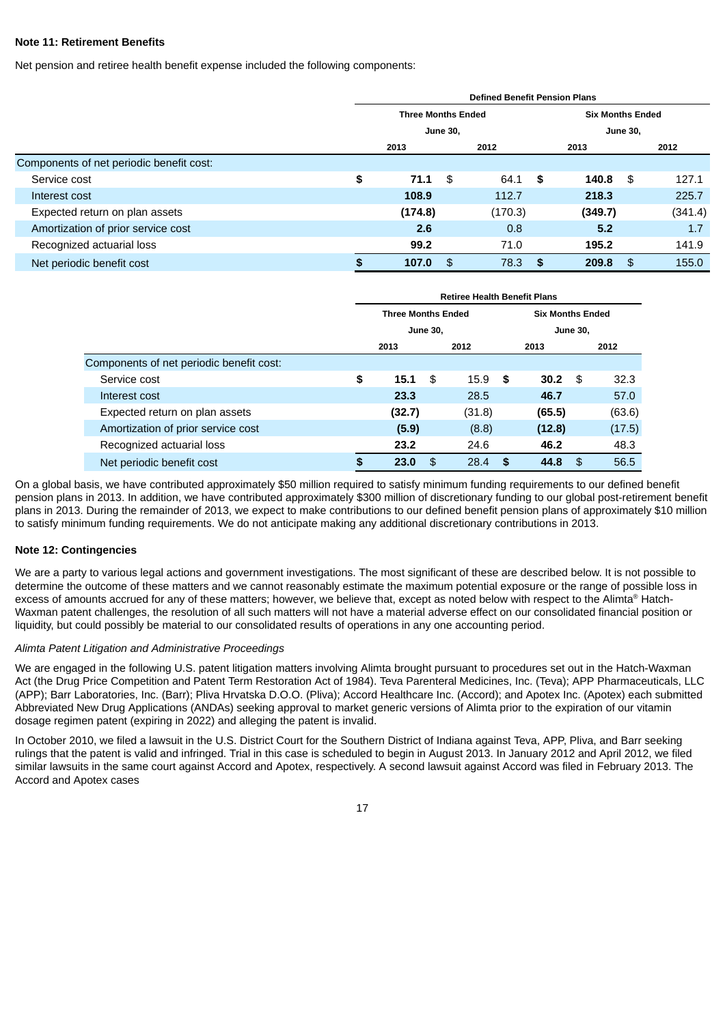#### **Note 11: Retirement Benefits**

Net pension and retiree health benefit expense included the following components:

|                                          | <b>Defined Benefit Pension Plans</b> |                           |          |         |      |                         |      |         |
|------------------------------------------|--------------------------------------|---------------------------|----------|---------|------|-------------------------|------|---------|
|                                          |                                      | <b>Three Months Ended</b> |          |         |      | <b>Six Months Ended</b> |      |         |
|                                          |                                      |                           | June 30, |         |      | June 30,                |      |         |
|                                          |                                      | 2013                      |          | 2012    |      | 2013                    | 2012 |         |
| Components of net periodic benefit cost: |                                      |                           |          |         |      |                         |      |         |
| Service cost                             | \$                                   | $71.1$ \$                 |          | 64.1    | - \$ | $140.8$ \$              |      | 127.1   |
| Interest cost                            |                                      | 108.9                     |          | 112.7   |      | 218.3                   |      | 225.7   |
| Expected return on plan assets           |                                      | (174.8)                   |          | (170.3) |      | (349.7)                 |      | (341.4) |
| Amortization of prior service cost       |                                      | 2.6                       |          | 0.8     |      | 5.2                     |      | 1.7     |
| Recognized actuarial loss                |                                      | 99.2                      |          | 71.0    |      | 195.2                   |      | 141.9   |
| Net periodic benefit cost                |                                      | 107.0                     | -\$      | 78.3    | - \$ | 209.8                   | \$   | 155.0   |

|                                          | <b>Retiree Health Benefit Plans</b> |                           |    |        |    |                         |    |        |  |
|------------------------------------------|-------------------------------------|---------------------------|----|--------|----|-------------------------|----|--------|--|
|                                          |                                     | <b>Three Months Ended</b> |    |        |    | <b>Six Months Ended</b> |    |        |  |
|                                          | June 30,<br>June 30,                |                           |    |        |    |                         |    |        |  |
|                                          |                                     | 2013                      |    | 2012   |    | 2013                    |    | 2012   |  |
| Components of net periodic benefit cost: |                                     |                           |    |        |    |                         |    |        |  |
| Service cost                             | \$                                  | 15.1                      | \$ | 15.9   | S. | 30.2                    | \$ | 32.3   |  |
| Interest cost                            |                                     | 23.3                      |    | 28.5   |    | 46.7                    |    | 57.0   |  |
| Expected return on plan assets           |                                     | (32.7)                    |    | (31.8) |    | (65.5)                  |    | (63.6) |  |
| Amortization of prior service cost       |                                     | (5.9)                     |    | (8.8)  |    | (12.8)                  |    | (17.5) |  |
| Recognized actuarial loss                |                                     | 23.2                      |    | 24.6   |    | 46.2                    |    | 48.3   |  |
| Net periodic benefit cost                | S                                   | 23.0                      | \$ | 28.4   | \$ | 44.8                    | \$ | 56.5   |  |

On a global basis, we have contributed approximately \$50 million required to satisfy minimum funding requirements to our defined benefit pension plans in 2013. In addition, we have contributed approximately \$300 million of discretionary funding to our global post-retirement benefit plans in 2013. During the remainder of 2013, we expect to make contributions to our defined benefit pension plans of approximately \$10 million to satisfy minimum funding requirements. We do not anticipate making any additional discretionary contributions in 2013.

#### **Note 12: Contingencies**

We are a party to various legal actions and government investigations. The most significant of these are described below. It is not possible to determine the outcome of these matters and we cannot reasonably estimate the maximum potential exposure or the range of possible loss in excess of amounts accrued for any of these matters; however, we believe that, except as noted below with respect to the Alimta® Hatch-Waxman patent challenges, the resolution of all such matters will not have a material adverse effect on our consolidated financial position or liquidity, but could possibly be material to our consolidated results of operations in any one accounting period.

#### *Alimta Patent Litigation and Administrative Proceedings*

We are engaged in the following U.S. patent litigation matters involving Alimta brought pursuant to procedures set out in the Hatch-Waxman Act (the Drug Price Competition and Patent Term Restoration Act of 1984). Teva Parenteral Medicines, Inc. (Teva); APP Pharmaceuticals, LLC (APP); Barr Laboratories, Inc. (Barr); Pliva Hrvatska D.O.O. (Pliva); Accord Healthcare Inc. (Accord); and Apotex Inc. (Apotex) each submitted Abbreviated New Drug Applications (ANDAs) seeking approval to market generic versions of Alimta prior to the expiration of our vitamin dosage regimen patent (expiring in 2022) and alleging the patent is invalid.

In October 2010, we filed a lawsuit in the U.S. District Court for the Southern District of Indiana against Teva, APP, Pliva, and Barr seeking rulings that the patent is valid and infringed. Trial in this case is scheduled to begin in August 2013. In January 2012 and April 2012, we filed similar lawsuits in the same court against Accord and Apotex, respectively. A second lawsuit against Accord was filed in February 2013. The Accord and Apotex cases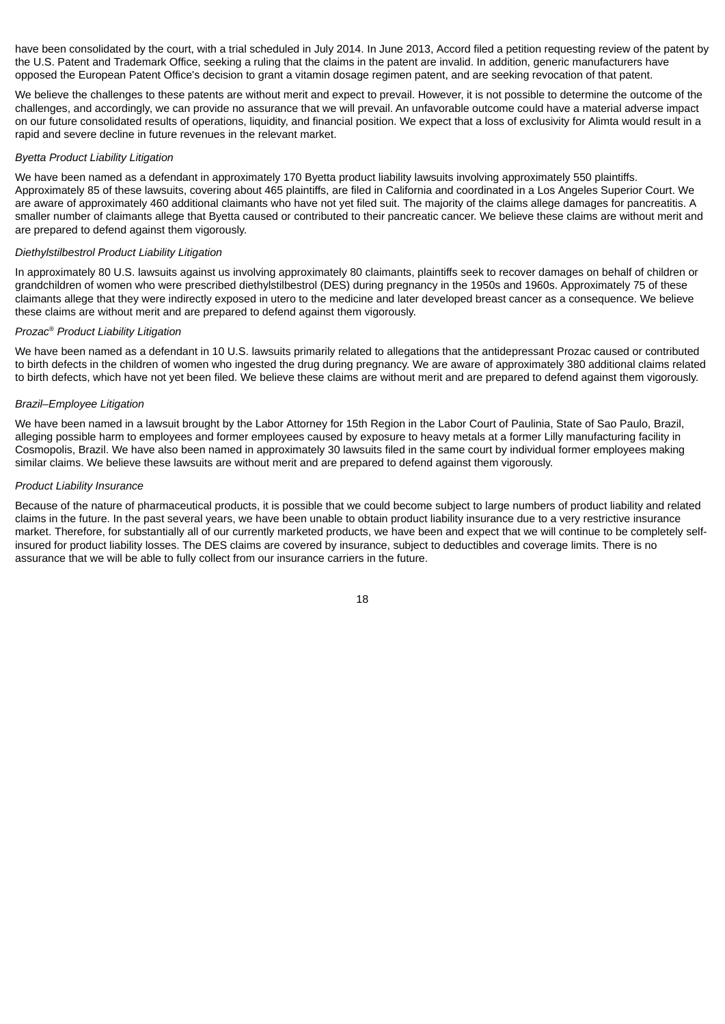have been consolidated by the court, with a trial scheduled in July 2014. In June 2013, Accord filed a petition requesting review of the patent by the U.S. Patent and Trademark Office, seeking a ruling that the claims in the patent are invalid. In addition, generic manufacturers have opposed the European Patent Office's decision to grant a vitamin dosage regimen patent, and are seeking revocation of that patent.

We believe the challenges to these patents are without merit and expect to prevail. However, it is not possible to determine the outcome of the challenges, and accordingly, we can provide no assurance that we will prevail. An unfavorable outcome could have a material adverse impact on our future consolidated results of operations, liquidity, and financial position. We expect that a loss of exclusivity for Alimta would result in a rapid and severe decline in future revenues in the relevant market.

#### *Byetta Product Liability Litigation*

We have been named as a defendant in approximately 170 Byetta product liability lawsuits involving approximately 550 plaintiffs. Approximately 85 of these lawsuits, covering about 465 plaintiffs, are filed in California and coordinated in a Los Angeles Superior Court. We are aware of approximately 460 additional claimants who have not yet filed suit. The majority of the claims allege damages for pancreatitis. A smaller number of claimants allege that Byetta caused or contributed to their pancreatic cancer. We believe these claims are without merit and are prepared to defend against them vigorously.

#### *Diethylstilbestrol Product Liability Litigation*

In approximately 80 U.S. lawsuits against us involving approximately 80 claimants, plaintiffs seek to recover damages on behalf of children or grandchildren of women who were prescribed diethylstilbestrol (DES) during pregnancy in the 1950s and 1960s. Approximately 75 of these claimants allege that they were indirectly exposed in utero to the medicine and later developed breast cancer as a consequence. We believe these claims are without merit and are prepared to defend against them vigorously.

#### *Prozac ® Product Liability Litigation*

We have been named as a defendant in 10 U.S. lawsuits primarily related to allegations that the antidepressant Prozac caused or contributed to birth defects in the children of women who ingested the drug during pregnancy. We are aware of approximately 380 additional claims related to birth defects, which have not yet been filed. We believe these claims are without merit and are prepared to defend against them vigorously.

#### *Brazil–Employee Litigation*

We have been named in a lawsuit brought by the Labor Attorney for 15th Region in the Labor Court of Paulinia, State of Sao Paulo, Brazil, alleging possible harm to employees and former employees caused by exposure to heavy metals at a former Lilly manufacturing facility in Cosmopolis, Brazil. We have also been named in approximately 30 lawsuits filed in the same court by individual former employees making similar claims. We believe these lawsuits are without merit and are prepared to defend against them vigorously.

#### *Product Liability Insurance*

Because of the nature of pharmaceutical products, it is possible that we could become subject to large numbers of product liability and related claims in the future. In the past several years, we have been unable to obtain product liability insurance due to a very restrictive insurance market. Therefore, for substantially all of our currently marketed products, we have been and expect that we will continue to be completely selfinsured for product liability losses. The DES claims are covered by insurance, subject to deductibles and coverage limits. There is no assurance that we will be able to fully collect from our insurance carriers in the future.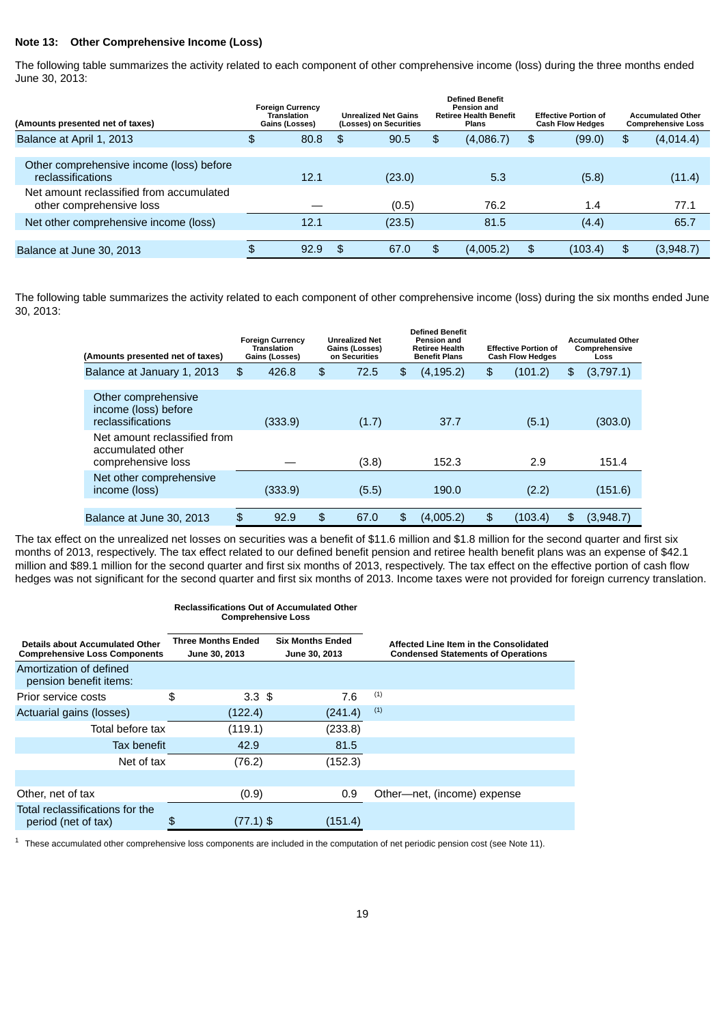#### **Note 13: Other Comprehensive Income (Loss)**

**Details** about **Accumula** 

The following table summarizes the activity related to each component of other comprehensive income (loss) during the three months ended June 30, 2013:

| (Amounts presented net of taxes)                                     | <b>Foreign Currency</b><br><b>Translation</b><br>Gains (Losses) | <b>Unrealized Net Gains</b><br>(Losses) on Securities |     | <b>Defined Benefit</b><br><b>Pension and</b><br><b>Retiree Health Benefit</b><br>Plans | <b>Effective Portion of</b><br><b>Cash Flow Hedges</b> | <b>Accumulated Other</b><br><b>Comprehensive Loss</b> |
|----------------------------------------------------------------------|-----------------------------------------------------------------|-------------------------------------------------------|-----|----------------------------------------------------------------------------------------|--------------------------------------------------------|-------------------------------------------------------|
| Balance at April 1, 2013                                             | \$<br>80.8                                                      | \$<br>90.5                                            | \$. | (4,086.7)                                                                              | \$<br>(99.0)                                           | \$<br>(4,014.4)                                       |
| Other comprehensive income (loss) before<br>reclassifications        | 12.1                                                            | (23.0)                                                |     | 5.3                                                                                    | (5.8)                                                  | (11.4)                                                |
| Net amount reclassified from accumulated<br>other comprehensive loss |                                                                 | (0.5)                                                 |     | 76.2                                                                                   | 1.4                                                    | 77.1                                                  |
| Net other comprehensive income (loss)                                | 12.1                                                            | (23.5)                                                |     | 81.5                                                                                   | (4.4)                                                  | 65.7                                                  |
| Balance at June 30, 2013                                             | \$<br>92.9                                                      | \$<br>67.0                                            | \$. | (4,005.2)                                                                              | \$<br>(103.4)                                          | \$<br>(3,948.7)                                       |

The following table summarizes the activity related to each component of other comprehensive income (loss) during the six months ended June 30, 2013:

| (Amounts presented net of taxes)                                        |                | <b>Foreign Currency</b><br><b>Translation</b><br>Gains (Losses) | <b>Unrealized Net</b><br>Gains (Losses)<br>on Securities | <b>Defined Benefit</b><br><b>Pension and</b><br><b>Retiree Health</b><br><b>Benefit Plans</b> | <b>Effective Portion of</b><br><b>Cash Flow Hedges</b> |         |    | <b>Accumulated Other</b><br>Comprehensive<br>Loss |
|-------------------------------------------------------------------------|----------------|-----------------------------------------------------------------|----------------------------------------------------------|-----------------------------------------------------------------------------------------------|--------------------------------------------------------|---------|----|---------------------------------------------------|
| Balance at January 1, 2013                                              | \$             | 426.8                                                           | \$<br>72.5                                               | \$<br>(4, 195.2)                                                                              | \$                                                     | (101.2) | \$ | (3,797.1)                                         |
| Other comprehensive<br>income (loss) before<br>reclassifications        |                | (333.9)                                                         | (1.7)                                                    | 37.7                                                                                          |                                                        | (5.1)   |    | (303.0)                                           |
| Net amount reclassified from<br>accumulated other<br>comprehensive loss |                |                                                                 | (3.8)                                                    | 152.3                                                                                         |                                                        | 2.9     |    | 151.4                                             |
| Net other comprehensive<br>income (loss)                                |                | (333.9)                                                         | (5.5)                                                    | 190.0                                                                                         |                                                        | (2.2)   |    | (151.6)                                           |
| Balance at June 30, 2013                                                | $\mathfrak{P}$ | 92.9                                                            | \$<br>67.0                                               | \$<br>(4,005.2)                                                                               | \$                                                     | (103.4) | \$ | (3,948.7)                                         |

The tax effect on the unrealized net losses on securities was a benefit of \$11.6 million and \$1.8 million for the second quarter and first six months of 2013, respectively. The tax effect related to our defined benefit pension and retiree health benefit plans was an expense of \$42.1 million and \$89.1 million for the second quarter and first six months of 2013, respectively. The tax effect on the effective portion of cash flow hedges was not significant for the second quarter and first six months of 2013. Income taxes were not provided for foreign currency translation.

|                                | <b>Comprehensive Loss</b>                  |                                                 |                                                                                     |
|--------------------------------|--------------------------------------------|-------------------------------------------------|-------------------------------------------------------------------------------------|
| <b>ated Other</b><br>omponents | <b>Three Months Ended</b><br>June 30, 2013 | <b>Six Months Ended</b><br><b>June 30, 2013</b> | Affected Line Item in the Consolidated<br><b>Condensed Statements of Operations</b> |
|                                |                                            |                                                 |                                                                                     |

**Reclassifications Out of Accumulated Other**

| <b>Comprehensive Loss Components</b>                   | June 30, 2013          | June 30, 2013 | <b>Condensed Statements of Operations</b> |
|--------------------------------------------------------|------------------------|---------------|-------------------------------------------|
| Amortization of defined<br>pension benefit items:      |                        |               |                                           |
| Prior service costs                                    | \$<br>$3.3 \text{ } $$ | 7.6           | (1)                                       |
| Actuarial gains (losses)                               | (122.4)                | (241.4)       | (1)                                       |
| Total before tax                                       | (119.1)                | (233.8)       |                                           |
| Tax benefit                                            | 42.9                   | 81.5          |                                           |
| Net of tax                                             | (76.2)                 | (152.3)       |                                           |
|                                                        |                        |               |                                           |
| Other, net of tax                                      | (0.9)                  | 0.9           | Other-net, (income) expense               |
| Total reclassifications for the<br>period (net of tax) | \$<br>(77.1) \$        | (151.4)       |                                           |

 $1$  These accumulated other comprehensive loss components are included in the computation of net periodic pension cost (see Note 11).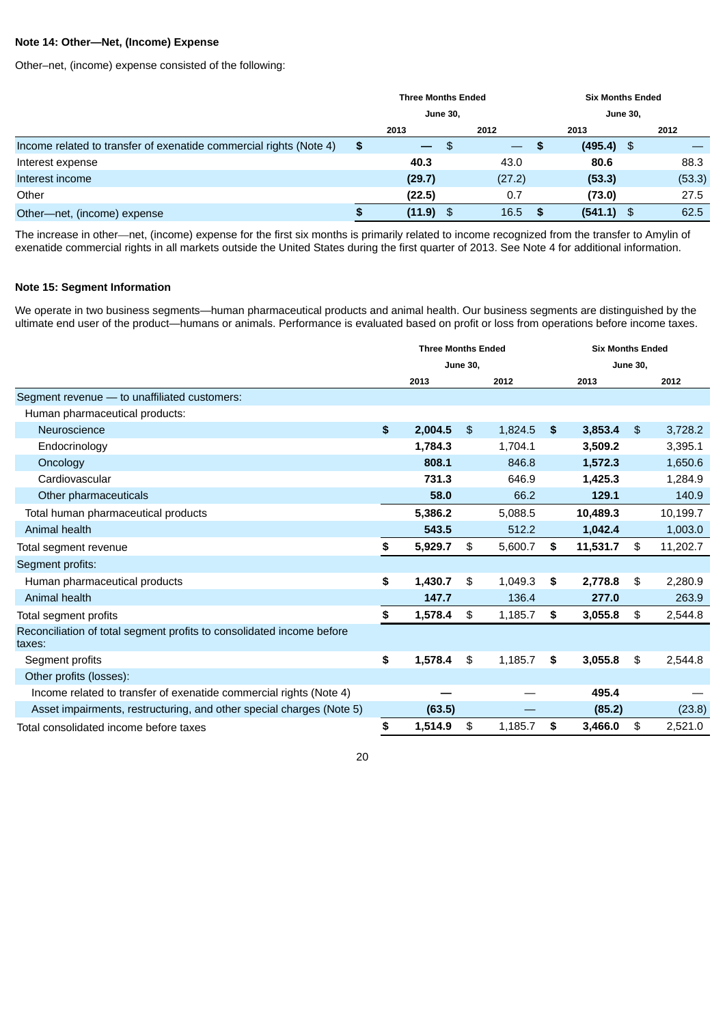#### **Note 14: Other—Net, (Income) Expense**

Other–net, (income) expense consisted of the following:

|                                                                    |          | <b>Three Months Ended</b> |     |        | <b>Six Months Ended</b> |                 |      |        |  |
|--------------------------------------------------------------------|----------|---------------------------|-----|--------|-------------------------|-----------------|------|--------|--|
|                                                                    | June 30, |                           |     |        |                         | <b>June 30,</b> |      |        |  |
|                                                                    |          | 2013                      |     | 2012   |                         | 2013            |      | 2012   |  |
| Income related to transfer of exenatide commercial rights (Note 4) | \$       | $\overline{\phantom{a}}$  | -\$ |        | \$                      | $(495.4)$ \$    |      |        |  |
| Interest expense                                                   |          | 40.3                      |     | 43.0   |                         | 80.6            |      | 88.3   |  |
| Interest income                                                    |          | (29.7)                    |     | (27.2) |                         | (53.3)          |      | (53.3) |  |
| Other                                                              |          | (22.5)                    |     | 0.7    |                         | (73.0)          |      | 27.5   |  |
| Other-net, (income) expense                                        |          | $(11.9)$ \$               |     | 16.5   |                         | (541.1)         | - \$ | 62.5   |  |

The increase in other—net, (income) expense for the first six months is primarily related to income recognized from the transfer to Amylin of exenatide commercial rights in all markets outside the United States during the first quarter of 2013. See Note 4 for additional information.

#### **Note 15: Segment Information**

We operate in two business segments—human pharmaceutical products and animal health. Our business segments are distinguished by the ultimate end user of the product—humans or animals. Performance is evaluated based on profit or loss from operations before income taxes.

|                                                                                 |                 | <b>Three Months Ended</b> |                |         |    | <b>Six Months Ended</b> |          |          |  |  |
|---------------------------------------------------------------------------------|-----------------|---------------------------|----------------|---------|----|-------------------------|----------|----------|--|--|
|                                                                                 | <b>June 30,</b> |                           |                |         |    |                         | June 30, |          |  |  |
|                                                                                 |                 | 2013                      |                | 2012    |    | 2013                    |          | 2012     |  |  |
| Segment revenue - to unaffiliated customers:                                    |                 |                           |                |         |    |                         |          |          |  |  |
| Human pharmaceutical products:                                                  |                 |                           |                |         |    |                         |          |          |  |  |
| Neuroscience                                                                    | \$              | 2,004.5                   | $\mathfrak{L}$ | 1,824.5 | \$ | 3,853.4                 | \$       | 3,728.2  |  |  |
| Endocrinology                                                                   |                 | 1,784.3                   |                | 1,704.1 |    | 3,509.2                 |          | 3,395.1  |  |  |
| Oncology                                                                        |                 | 808.1                     |                | 846.8   |    | 1,572.3                 |          | 1,650.6  |  |  |
| Cardiovascular                                                                  |                 | 731.3                     |                | 646.9   |    | 1,425.3                 |          | 1,284.9  |  |  |
| Other pharmaceuticals                                                           |                 | 58.0                      |                | 66.2    |    | 129.1                   |          | 140.9    |  |  |
| Total human pharmaceutical products                                             |                 | 5,386.2                   |                | 5.088.5 |    | 10,489.3                |          | 10,199.7 |  |  |
| Animal health                                                                   |                 | 543.5                     |                | 512.2   |    | 1,042.4                 |          | 1,003.0  |  |  |
| Total segment revenue                                                           | \$              | 5,929.7                   | \$             | 5,600.7 | \$ | 11,531.7                | \$       | 11,202.7 |  |  |
| Segment profits:                                                                |                 |                           |                |         |    |                         |          |          |  |  |
| Human pharmaceutical products                                                   | \$              | 1,430.7                   | \$             | 1,049.3 | \$ | 2,778.8                 | \$       | 2,280.9  |  |  |
| Animal health                                                                   |                 | 147.7                     |                | 136.4   |    | 277.0                   |          | 263.9    |  |  |
| Total segment profits                                                           | \$              | 1,578.4                   | \$             | 1,185.7 | \$ | 3,055.8                 | \$       | 2,544.8  |  |  |
| Reconciliation of total segment profits to consolidated income before<br>taxes: |                 |                           |                |         |    |                         |          |          |  |  |
| Segment profits                                                                 | \$              | 1,578.4                   | \$             | 1.185.7 | \$ | 3,055.8                 | \$       | 2,544.8  |  |  |
| Other profits (losses):                                                         |                 |                           |                |         |    |                         |          |          |  |  |
| Income related to transfer of exenatide commercial rights (Note 4)              |                 |                           |                |         |    | 495.4                   |          |          |  |  |
| Asset impairments, restructuring, and other special charges (Note 5)            |                 | (63.5)                    |                |         |    | (85.2)                  |          | (23.8)   |  |  |
| Total consolidated income before taxes                                          | \$              | 1,514.9                   | \$             | 1,185.7 | \$ | 3,466.0                 | \$       | 2,521.0  |  |  |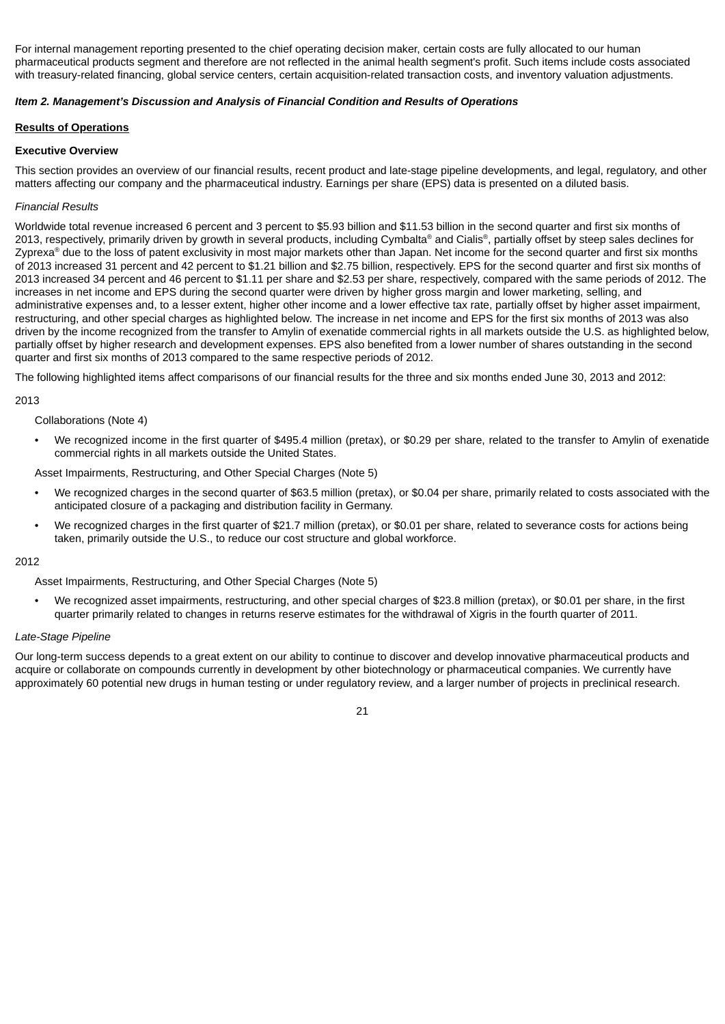For internal management reporting presented to the chief operating decision maker, certain costs are fully allocated to our human pharmaceutical products segment and therefore are not reflected in the animal health segment's profit. Such items include costs associated with treasury-related financing, global service centers, certain acquisition-related transaction costs, and inventory valuation adjustments.

#### *Item 2. Management's Discussion and Analysis of Financial Condition and Results of Operations*

#### **Results of Operations**

#### **Executive Overview**

This section provides an overview of our financial results, recent product and late-stage pipeline developments, and legal, regulatory, and other matters affecting our company and the pharmaceutical industry. Earnings per share (EPS) data is presented on a diluted basis.

#### *Financial Results*

Worldwide total revenue increased 6 percent and 3 percent to \$5.93 billion and \$11.53 billion in the second quarter and first six months of 2013, respectively, primarily driven by growth in several products, including Cymbalta® and Cialis®, partially offset by steep sales declines for Zyprexa® due to the loss of patent exclusivity in most major markets other than Japan. Net income for the second quarter and first six months of 2013 increased 31 percent and 42 percent to \$1.21 billion and \$2.75 billion, respectively. EPS for the second quarter and first six months of 2013 increased 34 percent and 46 percent to \$1.11 per share and \$2.53 per share, respectively, compared with the same periods of 2012. The increases in net income and EPS during the second quarter were driven by higher gross margin and lower marketing, selling, and administrative expenses and, to a lesser extent, higher other income and a lower effective tax rate, partially offset by higher asset impairment, restructuring, and other special charges as highlighted below. The increase in net income and EPS for the first six months of 2013 was also driven by the income recognized from the transfer to Amylin of exenatide commercial rights in all markets outside the U.S. as highlighted below, partially offset by higher research and development expenses. EPS also benefited from a lower number of shares outstanding in the second quarter and first six months of 2013 compared to the same respective periods of 2012.

The following highlighted items affect comparisons of our financial results for the three and six months ended June 30, 2013 and 2012:

#### 2013

#### Collaborations (Note 4)

• We recognized income in the first quarter of \$495.4 million (pretax), or \$0.29 per share, related to the transfer to Amylin of exenatide commercial rights in all markets outside the United States.

Asset Impairments, Restructuring, and Other Special Charges (Note 5)

- We recognized charges in the second quarter of \$63.5 million (pretax), or \$0.04 per share, primarily related to costs associated with the anticipated closure of a packaging and distribution facility in Germany.
- We recognized charges in the first quarter of \$21.7 million (pretax), or \$0.01 per share, related to severance costs for actions being taken, primarily outside the U.S., to reduce our cost structure and global workforce.

#### 2012

Asset Impairments, Restructuring, and Other Special Charges (Note 5)

• We recognized asset impairments, restructuring, and other special charges of \$23.8 million (pretax), or \$0.01 per share, in the first quarter primarily related to changes in returns reserve estimates for the withdrawal of Xigris in the fourth quarter of 2011.

#### *Late-Stage Pipeline*

Our long-term success depends to a great extent on our ability to continue to discover and develop innovative pharmaceutical products and acquire or collaborate on compounds currently in development by other biotechnology or pharmaceutical companies. We currently have approximately 60 potential new drugs in human testing or under regulatory review, and a larger number of projects in preclinical research.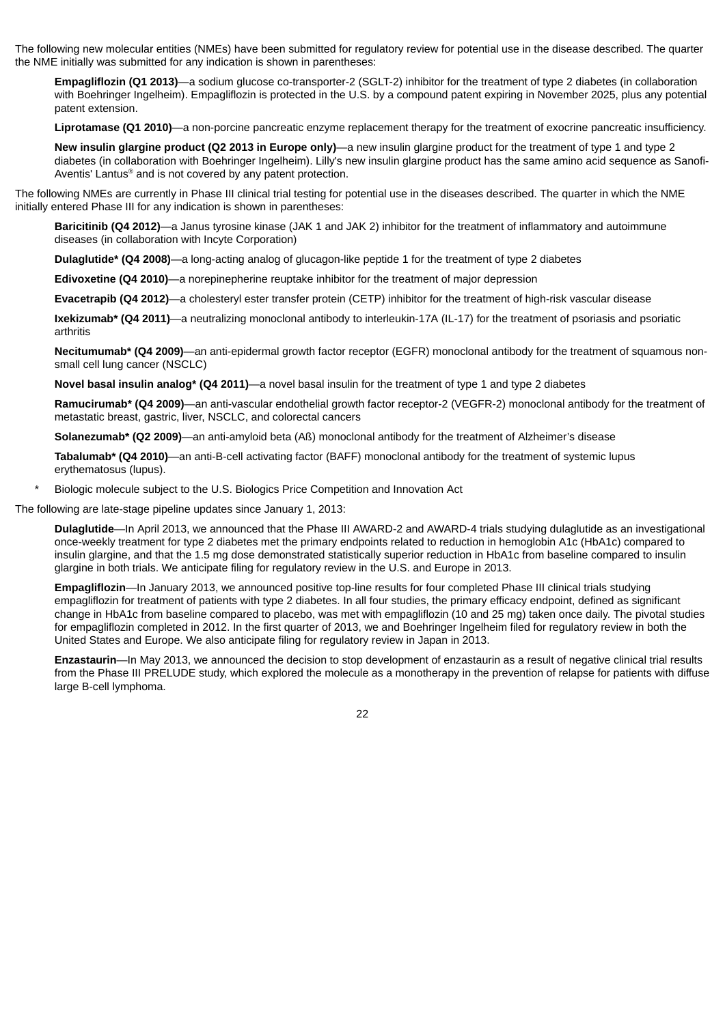The following new molecular entities (NMEs) have been submitted for regulatory review for potential use in the disease described. The quarter the NME initially was submitted for any indication is shown in parentheses:

**Empagliflozin (Q1 2013)**—a sodium glucose co-transporter-2 (SGLT-2) inhibitor for the treatment of type 2 diabetes (in collaboration with Boehringer Ingelheim). Empagliflozin is protected in the U.S. by a compound patent expiring in November 2025, plus any potential patent extension.

**Liprotamase (Q1 2010)**—a non-porcine pancreatic enzyme replacement therapy for the treatment of exocrine pancreatic insufficiency.

**New insulin glargine product (Q2 2013 in Europe only)**—a new insulin glargine product for the treatment of type 1 and type 2 diabetes (in collaboration with Boehringer Ingelheim). Lilly's new insulin glargine product has the same amino acid sequence as Sanofi-Aventis' Lantus ® and is not covered by any patent protection.

The following NMEs are currently in Phase III clinical trial testing for potential use in the diseases described. The quarter in which the NME initially entered Phase III for any indication is shown in parentheses:

**Baricitinib (Q4 2012)**—a Janus tyrosine kinase (JAK 1 and JAK 2) inhibitor for the treatment of inflammatory and autoimmune diseases (in collaboration with Incyte Corporation)

**Dulaglutide\* (Q4 2008)**—a long-acting analog of glucagon-like peptide 1 for the treatment of type 2 diabetes

**Edivoxetine (Q4 2010)**—a norepinepherine reuptake inhibitor for the treatment of major depression

**Evacetrapib (Q4 2012)**—a cholesteryl ester transfer protein (CETP) inhibitor for the treatment of high-risk vascular disease

**Ixekizumab\* (Q4 2011)**—a neutralizing monoclonal antibody to interleukin-17A (IL-17) for the treatment of psoriasis and psoriatic arthritis

**Necitumumab\* (Q4 2009)**—an anti-epidermal growth factor receptor (EGFR) monoclonal antibody for the treatment of squamous nonsmall cell lung cancer (NSCLC)

**Novel basal insulin analog\* (Q4 2011)**—a novel basal insulin for the treatment of type 1 and type 2 diabetes

**Ramucirumab\* (Q4 2009)**—an anti-vascular endothelial growth factor receptor-2 (VEGFR-2) monoclonal antibody for the treatment of metastatic breast, gastric, liver, NSCLC, and colorectal cancers

**Solanezumab\* (Q2 2009)**—an anti-amyloid beta (Aß) monoclonal antibody for the treatment of Alzheimer's disease

**Tabalumab\* (Q4 2010)**—an anti-B-cell activating factor (BAFF) monoclonal antibody for the treatment of systemic lupus erythematosus (lupus).

Biologic molecule subject to the U.S. Biologics Price Competition and Innovation Act

The following are late-stage pipeline updates since January 1, 2013:

**Dulaglutide**—In April 2013, we announced that the Phase III AWARD-2 and AWARD-4 trials studying dulaglutide as an investigational once-weekly treatment for type 2 diabetes met the primary endpoints related to reduction in hemoglobin A1c (HbA1c) compared to insulin glargine, and that the 1.5 mg dose demonstrated statistically superior reduction in HbA1c from baseline compared to insulin glargine in both trials. We anticipate filing for regulatory review in the U.S. and Europe in 2013.

**Empagliflozin**—In January 2013, we announced positive top-line results for four completed Phase III clinical trials studying empagliflozin for treatment of patients with type 2 diabetes. In all four studies, the primary efficacy endpoint, defined as significant change in HbA1c from baseline compared to placebo, was met with empagliflozin (10 and 25 mg) taken once daily. The pivotal studies for empagliflozin completed in 2012. In the first quarter of 2013, we and Boehringer Ingelheim filed for regulatory review in both the United States and Europe. We also anticipate filing for regulatory review in Japan in 2013.

**Enzastaurin**—In May 2013, we announced the decision to stop development of enzastaurin as a result of negative clinical trial results from the Phase III PRELUDE study, which explored the molecule as a monotherapy in the prevention of relapse for patients with diffuse large B-cell lymphoma.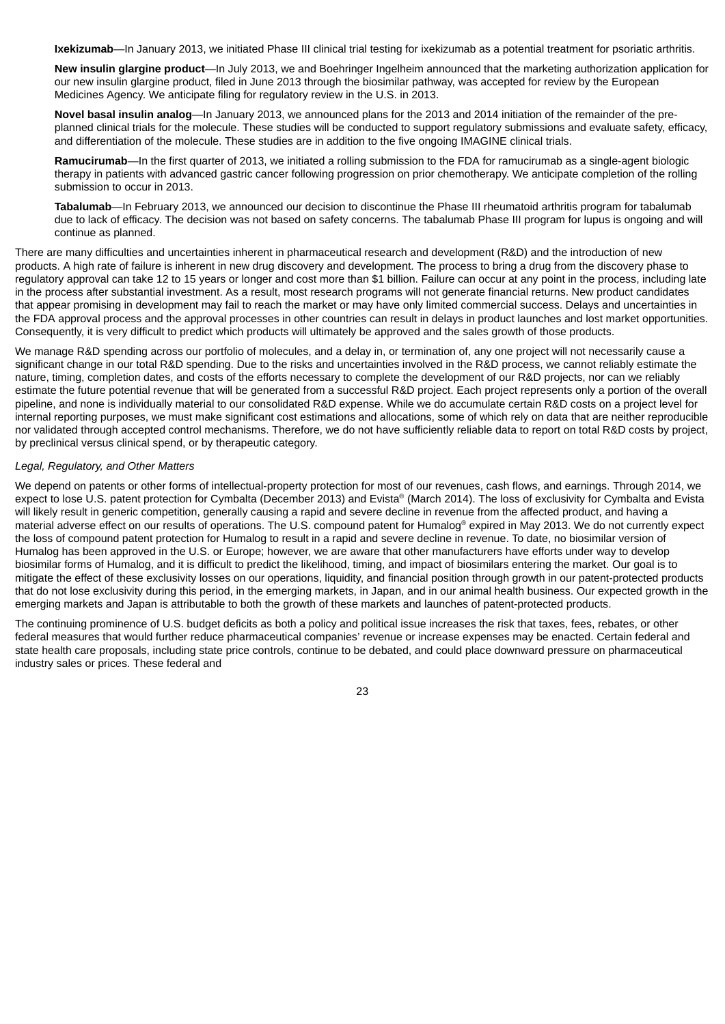**Ixekizumab**—In January 2013, we initiated Phase III clinical trial testing for ixekizumab as a potential treatment for psoriatic arthritis.

**New insulin glargine product**—In July 2013, we and Boehringer Ingelheim announced that the marketing authorization application for our new insulin glargine product, filed in June 2013 through the biosimilar pathway, was accepted for review by the European Medicines Agency. We anticipate filing for regulatory review in the U.S. in 2013.

**Novel basal insulin analog**—In January 2013, we announced plans for the 2013 and 2014 initiation of the remainder of the preplanned clinical trials for the molecule. These studies will be conducted to support regulatory submissions and evaluate safety, efficacy, and differentiation of the molecule. These studies are in addition to the five ongoing IMAGINE clinical trials.

**Ramucirumab**—In the first quarter of 2013, we initiated a rolling submission to the FDA for ramucirumab as a single-agent biologic therapy in patients with advanced gastric cancer following progression on prior chemotherapy. We anticipate completion of the rolling submission to occur in 2013.

**Tabalumab**—In February 2013, we announced our decision to discontinue the Phase III rheumatoid arthritis program for tabalumab due to lack of efficacy. The decision was not based on safety concerns. The tabalumab Phase III program for lupus is ongoing and will continue as planned.

There are many difficulties and uncertainties inherent in pharmaceutical research and development (R&D) and the introduction of new products. A high rate of failure is inherent in new drug discovery and development. The process to bring a drug from the discovery phase to regulatory approval can take 12 to 15 years or longer and cost more than \$1 billion. Failure can occur at any point in the process, including late in the process after substantial investment. As a result, most research programs will not generate financial returns. New product candidates that appear promising in development may fail to reach the market or may have only limited commercial success. Delays and uncertainties in the FDA approval process and the approval processes in other countries can result in delays in product launches and lost market opportunities. Consequently, it is very difficult to predict which products will ultimately be approved and the sales growth of those products.

We manage R&D spending across our portfolio of molecules, and a delay in, or termination of, any one project will not necessarily cause a significant change in our total R&D spending. Due to the risks and uncertainties involved in the R&D process, we cannot reliably estimate the nature, timing, completion dates, and costs of the efforts necessary to complete the development of our R&D projects, nor can we reliably estimate the future potential revenue that will be generated from a successful R&D project. Each project represents only a portion of the overall pipeline, and none is individually material to our consolidated R&D expense. While we do accumulate certain R&D costs on a project level for internal reporting purposes, we must make significant cost estimations and allocations, some of which rely on data that are neither reproducible nor validated through accepted control mechanisms. Therefore, we do not have sufficiently reliable data to report on total R&D costs by project, by preclinical versus clinical spend, or by therapeutic category.

#### *Legal, Regulatory, and Other Matters*

We depend on patents or other forms of intellectual-property protection for most of our revenues, cash flows, and earnings. Through 2014, we expect to lose U.S. patent protection for Cymbalta (December 2013) and Evista® (March 2014). The loss of exclusivity for Cymbalta and Evista will likely result in generic competition, generally causing a rapid and severe decline in revenue from the affected product, and having a material adverse effect on our results of operations. The U.S. compound patent for Humalog ® expired in May 2013. We do not currently expect the loss of compound patent protection for Humalog to result in a rapid and severe decline in revenue. To date, no biosimilar version of Humalog has been approved in the U.S. or Europe; however, we are aware that other manufacturers have efforts under way to develop biosimilar forms of Humalog, and it is difficult to predict the likelihood, timing, and impact of biosimilars entering the market. Our goal is to mitigate the effect of these exclusivity losses on our operations, liquidity, and financial position through growth in our patent-protected products that do not lose exclusivity during this period, in the emerging markets, in Japan, and in our animal health business. Our expected growth in the emerging markets and Japan is attributable to both the growth of these markets and launches of patent-protected products.

The continuing prominence of U.S. budget deficits as both a policy and political issue increases the risk that taxes, fees, rebates, or other federal measures that would further reduce pharmaceutical companies' revenue or increase expenses may be enacted. Certain federal and state health care proposals, including state price controls, continue to be debated, and could place downward pressure on pharmaceutical industry sales or prices. These federal and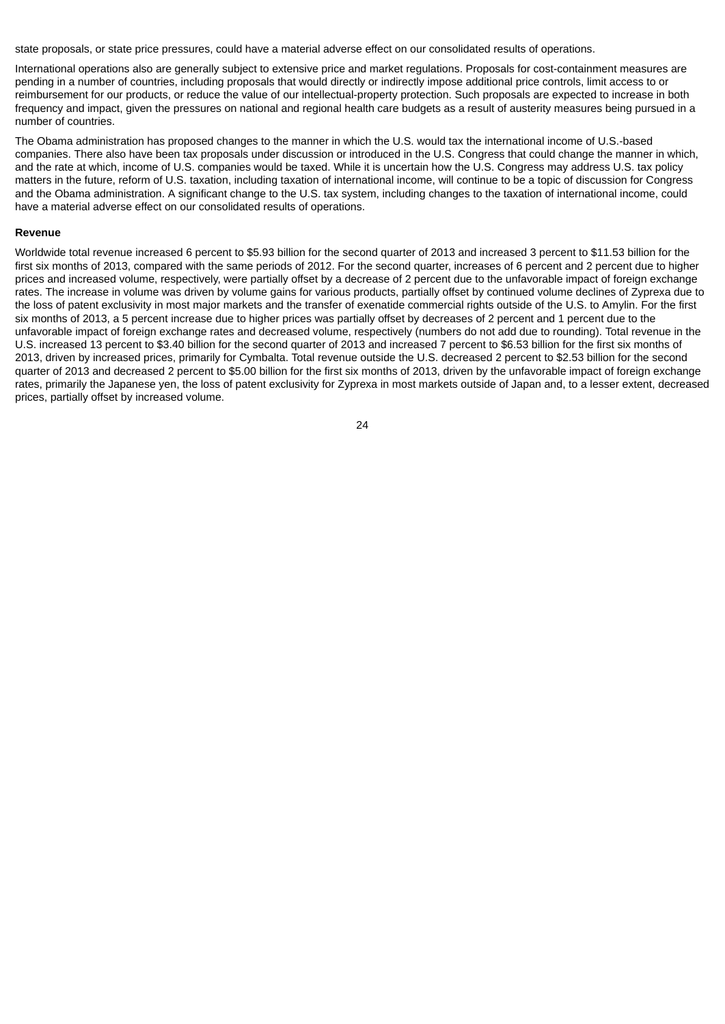state proposals, or state price pressures, could have a material adverse effect on our consolidated results of operations.

International operations also are generally subject to extensive price and market regulations. Proposals for cost-containment measures are pending in a number of countries, including proposals that would directly or indirectly impose additional price controls, limit access to or reimbursement for our products, or reduce the value of our intellectual-property protection. Such proposals are expected to increase in both frequency and impact, given the pressures on national and regional health care budgets as a result of austerity measures being pursued in a number of countries.

The Obama administration has proposed changes to the manner in which the U.S. would tax the international income of U.S.-based companies. There also have been tax proposals under discussion or introduced in the U.S. Congress that could change the manner in which, and the rate at which, income of U.S. companies would be taxed. While it is uncertain how the U.S. Congress may address U.S. tax policy matters in the future, reform of U.S. taxation, including taxation of international income, will continue to be a topic of discussion for Congress and the Obama administration. A significant change to the U.S. tax system, including changes to the taxation of international income, could have a material adverse effect on our consolidated results of operations.

#### **Revenue**

Worldwide total revenue increased 6 percent to \$5.93 billion for the second quarter of 2013 and increased 3 percent to \$11.53 billion for the first six months of 2013, compared with the same periods of 2012. For the second quarter, increases of 6 percent and 2 percent due to higher prices and increased volume, respectively, were partially offset by a decrease of 2 percent due to the unfavorable impact of foreign exchange rates. The increase in volume was driven by volume gains for various products, partially offset by continued volume declines of Zyprexa due to the loss of patent exclusivity in most major markets and the transfer of exenatide commercial rights outside of the U.S. to Amylin. For the first six months of 2013, a 5 percent increase due to higher prices was partially offset by decreases of 2 percent and 1 percent due to the unfavorable impact of foreign exchange rates and decreased volume, respectively (numbers do not add due to rounding). Total revenue in the U.S. increased 13 percent to \$3.40 billion for the second quarter of 2013 and increased 7 percent to \$6.53 billion for the first six months of 2013, driven by increased prices, primarily for Cymbalta. Total revenue outside the U.S. decreased 2 percent to \$2.53 billion for the second quarter of 2013 and decreased 2 percent to \$5.00 billion for the first six months of 2013, driven by the unfavorable impact of foreign exchange rates, primarily the Japanese yen, the loss of patent exclusivity for Zyprexa in most markets outside of Japan and, to a lesser extent, decreased prices, partially offset by increased volume.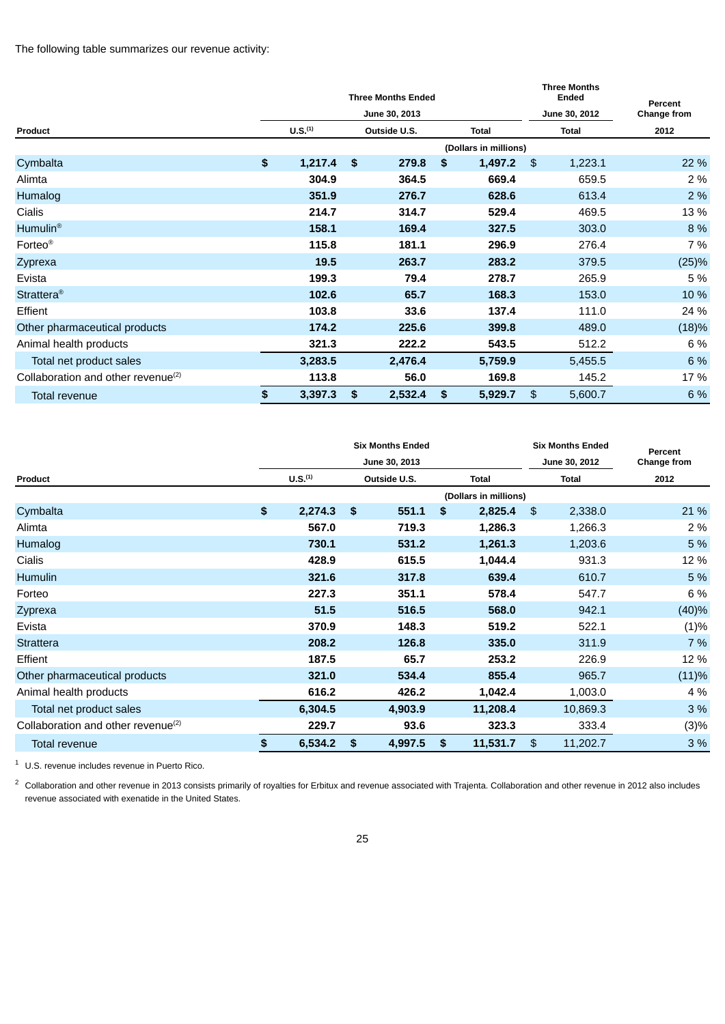The following table summarizes our revenue activity:

|                                                |                       |              | <b>Three Months Ended</b> |    | <b>Three Months</b><br>Ended | Percent     |              |       |  |  |  |
|------------------------------------------------|-----------------------|--------------|---------------------------|----|------------------------------|-------------|--------------|-------|--|--|--|
|                                                |                       |              | June 30, 2013             |    | June 30, 2012                | Change from |              |       |  |  |  |
| Product                                        | U.S. <sup>(1)</sup>   | Outside U.S. |                           |    | <b>Total</b>                 |             | <b>Total</b> | 2012  |  |  |  |
|                                                | (Dollars in millions) |              |                           |    |                              |             |              |       |  |  |  |
| Cymbalta                                       | \$<br>1,217.4         | \$           | 279.8                     | \$ | 1,497.2                      | \$          | 1,223.1      | 22 %  |  |  |  |
| Alimta                                         | 304.9                 |              | 364.5                     |    | 669.4                        |             | 659.5        | 2 %   |  |  |  |
| Humalog                                        | 351.9                 |              | 276.7                     |    | 628.6                        |             | 613.4        | 2 %   |  |  |  |
| Cialis                                         | 214.7                 |              | 314.7                     |    | 529.4                        |             | 469.5        | 13 %  |  |  |  |
| $H$ umulin®                                    | 158.1                 |              | 169.4                     |    | 327.5                        |             | 303.0        | 8 %   |  |  |  |
| $\mathsf{Forteo}^{\circledast}$                | 115.8                 |              | 181.1                     |    | 296.9                        |             | 276.4        | 7 %   |  |  |  |
| Zyprexa                                        | 19.5                  |              | 263.7                     |    | 283.2                        |             | 379.5        | (25)% |  |  |  |
| Evista                                         | 199.3                 |              | 79.4                      |    | 278.7                        |             | 265.9        | 5 %   |  |  |  |
| <b>Strattera</b> <sup>®</sup>                  | 102.6                 |              | 65.7                      |    | 168.3                        |             | 153.0        | 10 %  |  |  |  |
| Effient                                        | 103.8                 |              | 33.6                      |    | 137.4                        |             | 111.0        | 24 %  |  |  |  |
| Other pharmaceutical products                  | 174.2                 |              | 225.6                     |    | 399.8                        |             | 489.0        | (18)% |  |  |  |
| Animal health products                         | 321.3                 |              | 222.2                     |    | 543.5                        |             | 512.2        | 6 %   |  |  |  |
| Total net product sales                        | 3,283.5               |              | 2,476.4                   |    | 5,759.9                      |             | 5,455.5      | 6 %   |  |  |  |
| Collaboration and other revenue <sup>(2)</sup> | 113.8                 |              | 56.0                      |    | 169.8                        |             | 145.2        | 17 %  |  |  |  |
| <b>Total revenue</b>                           | \$<br>3,397.3         | \$           | 2,532.4                   | \$ | 5,929.7                      | \$          | 5,600.7      | 6 %   |  |  |  |

|                                                |                   |                     |              | <b>Six Months Ended</b> | <b>Six Months Ended</b> | Percent<br>Change from |                |       |
|------------------------------------------------|-------------------|---------------------|--------------|-------------------------|-------------------------|------------------------|----------------|-------|
|                                                |                   |                     |              | June 30, 2013           | June 30, 2012           |                        |                |       |
| Product                                        |                   | U.S. <sup>(1)</sup> | Outside U.S. |                         |                         | <b>Total</b>           | <b>Total</b>   | 2012  |
|                                                |                   |                     |              |                         |                         | (Dollars in millions)  |                |       |
| Cymbalta                                       | $\boldsymbol{\$}$ | 2,274.3             | -\$          | 551.1                   | \$                      | 2,825.4                | \$<br>2,338.0  | 21 %  |
| Alimta                                         |                   | 567.0               |              | 719.3                   |                         | 1,286.3                | 1,266.3        | 2 %   |
| Humalog                                        |                   | 730.1               |              | 531.2                   |                         | 1,261.3                | 1,203.6        | 5 %   |
| Cialis                                         |                   | 428.9               |              | 615.5                   |                         | 1,044.4                | 931.3          | 12 %  |
| <b>Humulin</b>                                 |                   | 321.6               |              | 317.8                   |                         | 639.4                  | 610.7          | 5 %   |
| Forteo                                         |                   | 227.3               |              | 351.1                   |                         | 578.4                  | 547.7          | 6 %   |
| Zyprexa                                        |                   | 51.5                |              | 516.5                   |                         | 568.0                  | 942.1          | (40)% |
| Evista                                         |                   | 370.9               |              | 148.3                   |                         | 519.2                  | 522.1          | (1)%  |
| Strattera                                      |                   | 208.2               |              | 126.8                   |                         | 335.0                  | 311.9          | 7 %   |
| Effient                                        |                   | 187.5               |              | 65.7                    |                         | 253.2                  | 226.9          | 12 %  |
| Other pharmaceutical products                  |                   | 321.0               |              | 534.4                   |                         | 855.4                  | 965.7          | (11)% |
| Animal health products                         |                   | 616.2               |              | 426.2                   |                         | 1,042.4                | 1,003.0        | 4 %   |
| Total net product sales                        |                   | 6,304.5             |              | 4,903.9                 |                         | 11,208.4               | 10,869.3       | 3%    |
| Collaboration and other revenue <sup>(2)</sup> |                   | 229.7               |              | 93.6                    |                         | 323.3                  | 333.4          | (3)%  |
| <b>Total revenue</b>                           | \$                | 6,534.2             | \$           | 4,997.5                 | \$                      | 11,531.7               | \$<br>11,202.7 | 3 %   |

 $1$  U.S. revenue includes revenue in Puerto Rico.

<sup>2</sup> Collaboration and other revenue in 2013 consists primarily of royalties for Erbitux and revenue associated with Trajenta. Collaboration and other revenue in 2012 also includes revenue associated with exenatide in the United States.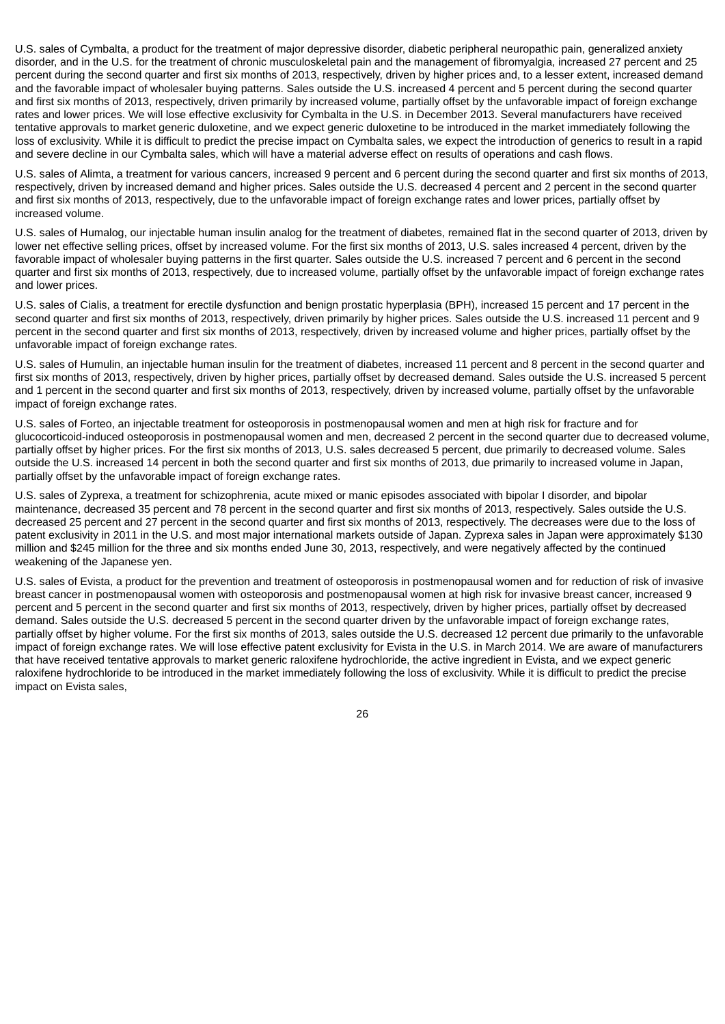U.S. sales of Cymbalta, a product for the treatment of major depressive disorder, diabetic peripheral neuropathic pain, generalized anxiety disorder, and in the U.S. for the treatment of chronic musculoskeletal pain and the management of fibromyalgia, increased 27 percent and 25 percent during the second quarter and first six months of 2013, respectively, driven by higher prices and, to a lesser extent, increased demand and the favorable impact of wholesaler buying patterns. Sales outside the U.S. increased 4 percent and 5 percent during the second quarter and first six months of 2013, respectively, driven primarily by increased volume, partially offset by the unfavorable impact of foreign exchange rates and lower prices. We will lose effective exclusivity for Cymbalta in the U.S. in December 2013. Several manufacturers have received tentative approvals to market generic duloxetine, and we expect generic duloxetine to be introduced in the market immediately following the loss of exclusivity. While it is difficult to predict the precise impact on Cymbalta sales, we expect the introduction of generics to result in a rapid and severe decline in our Cymbalta sales, which will have a material adverse effect on results of operations and cash flows.

U.S. sales of Alimta, a treatment for various cancers, increased 9 percent and 6 percent during the second quarter and first six months of 2013, respectively, driven by increased demand and higher prices. Sales outside the U.S. decreased 4 percent and 2 percent in the second quarter and first six months of 2013, respectively, due to the unfavorable impact of foreign exchange rates and lower prices, partially offset by increased volume.

U.S. sales of Humalog, our injectable human insulin analog for the treatment of diabetes, remained flat in the second quarter of 2013, driven by lower net effective selling prices, offset by increased volume. For the first six months of 2013, U.S. sales increased 4 percent, driven by the favorable impact of wholesaler buying patterns in the first quarter. Sales outside the U.S. increased 7 percent and 6 percent in the second quarter and first six months of 2013, respectively, due to increased volume, partially offset by the unfavorable impact of foreign exchange rates and lower prices.

U.S. sales of Cialis, a treatment for erectile dysfunction and benign prostatic hyperplasia (BPH), increased 15 percent and 17 percent in the second quarter and first six months of 2013, respectively, driven primarily by higher prices. Sales outside the U.S. increased 11 percent and 9 percent in the second quarter and first six months of 2013, respectively, driven by increased volume and higher prices, partially offset by the unfavorable impact of foreign exchange rates.

U.S. sales of Humulin, an injectable human insulin for the treatment of diabetes, increased 11 percent and 8 percent in the second quarter and first six months of 2013, respectively, driven by higher prices, partially offset by decreased demand. Sales outside the U.S. increased 5 percent and 1 percent in the second quarter and first six months of 2013, respectively, driven by increased volume, partially offset by the unfavorable impact of foreign exchange rates.

U.S. sales of Forteo, an injectable treatment for osteoporosis in postmenopausal women and men at high risk for fracture and for glucocorticoid-induced osteoporosis in postmenopausal women and men, decreased 2 percent in the second quarter due to decreased volume, partially offset by higher prices. For the first six months of 2013, U.S. sales decreased 5 percent, due primarily to decreased volume. Sales outside the U.S. increased 14 percent in both the second quarter and first six months of 2013, due primarily to increased volume in Japan, partially offset by the unfavorable impact of foreign exchange rates.

U.S. sales of Zyprexa, a treatment for schizophrenia, acute mixed or manic episodes associated with bipolar I disorder, and bipolar maintenance, decreased 35 percent and 78 percent in the second quarter and first six months of 2013, respectively. Sales outside the U.S. decreased 25 percent and 27 percent in the second quarter and first six months of 2013, respectively. The decreases were due to the loss of patent exclusivity in 2011 in the U.S. and most major international markets outside of Japan. Zyprexa sales in Japan were approximately \$130 million and \$245 million for the three and six months ended June 30, 2013, respectively, and were negatively affected by the continued weakening of the Japanese yen.

U.S. sales of Evista, a product for the prevention and treatment of osteoporosis in postmenopausal women and for reduction of risk of invasive breast cancer in postmenopausal women with osteoporosis and postmenopausal women at high risk for invasive breast cancer, increased 9 percent and 5 percent in the second quarter and first six months of 2013, respectively, driven by higher prices, partially offset by decreased demand. Sales outside the U.S. decreased 5 percent in the second quarter driven by the unfavorable impact of foreign exchange rates, partially offset by higher volume. For the first six months of 2013, sales outside the U.S. decreased 12 percent due primarily to the unfavorable impact of foreign exchange rates. We will lose effective patent exclusivity for Evista in the U.S. in March 2014. We are aware of manufacturers that have received tentative approvals to market generic raloxifene hydrochloride, the active ingredient in Evista, and we expect generic raloxifene hydrochloride to be introduced in the market immediately following the loss of exclusivity. While it is difficult to predict the precise impact on Evista sales,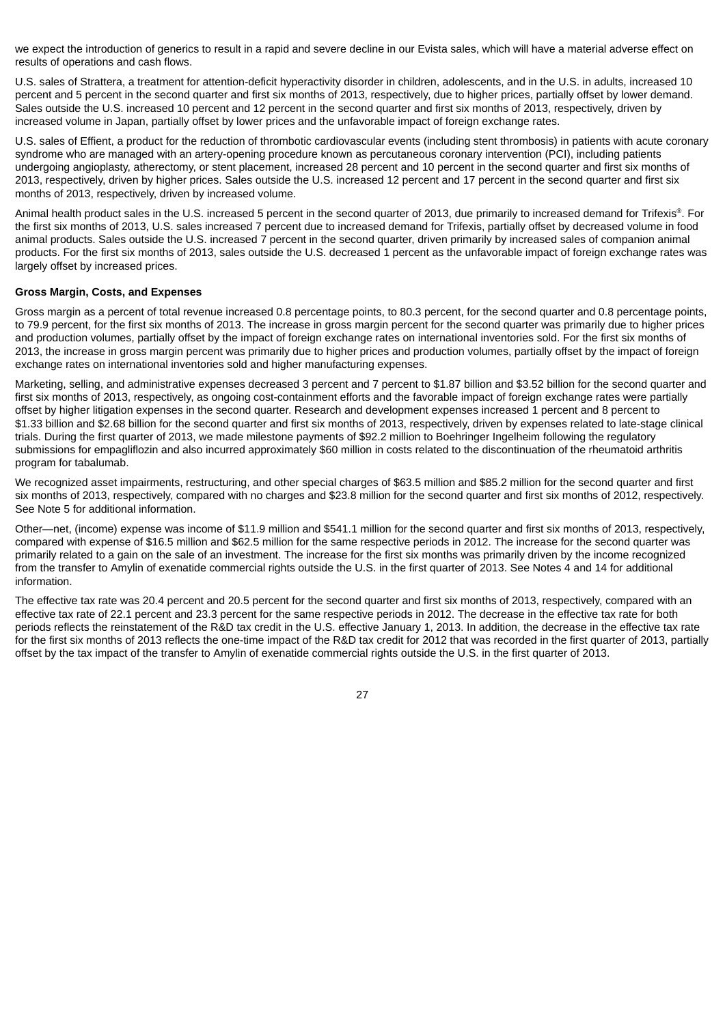we expect the introduction of generics to result in a rapid and severe decline in our Evista sales, which will have a material adverse effect on results of operations and cash flows.

U.S. sales of Strattera, a treatment for attention-deficit hyperactivity disorder in children, adolescents, and in the U.S. in adults, increased 10 percent and 5 percent in the second quarter and first six months of 2013, respectively, due to higher prices, partially offset by lower demand. Sales outside the U.S. increased 10 percent and 12 percent in the second quarter and first six months of 2013, respectively, driven by increased volume in Japan, partially offset by lower prices and the unfavorable impact of foreign exchange rates.

U.S. sales of Effient, a product for the reduction of thrombotic cardiovascular events (including stent thrombosis) in patients with acute coronary syndrome who are managed with an artery-opening procedure known as percutaneous coronary intervention (PCI), including patients undergoing angioplasty, atherectomy, or stent placement, increased 28 percent and 10 percent in the second quarter and first six months of 2013, respectively, driven by higher prices. Sales outside the U.S. increased 12 percent and 17 percent in the second quarter and first six months of 2013, respectively, driven by increased volume.

Animal health product sales in the U.S. increased 5 percent in the second quarter of 2013, due primarily to increased demand for Trifexis®. For the first six months of 2013, U.S. sales increased 7 percent due to increased demand for Trifexis, partially offset by decreased volume in food animal products. Sales outside the U.S. increased 7 percent in the second quarter, driven primarily by increased sales of companion animal products. For the first six months of 2013, sales outside the U.S. decreased 1 percent as the unfavorable impact of foreign exchange rates was largely offset by increased prices.

#### **Gross Margin, Costs, and Expenses**

Gross margin as a percent of total revenue increased 0.8 percentage points, to 80.3 percent, for the second quarter and 0.8 percentage points, to 79.9 percent, for the first six months of 2013. The increase in gross margin percent for the second quarter was primarily due to higher prices and production volumes, partially offset by the impact of foreign exchange rates on international inventories sold. For the first six months of 2013, the increase in gross margin percent was primarily due to higher prices and production volumes, partially offset by the impact of foreign exchange rates on international inventories sold and higher manufacturing expenses.

Marketing, selling, and administrative expenses decreased 3 percent and 7 percent to \$1.87 billion and \$3.52 billion for the second quarter and first six months of 2013, respectively, as ongoing cost-containment efforts and the favorable impact of foreign exchange rates were partially offset by higher litigation expenses in the second quarter. Research and development expenses increased 1 percent and 8 percent to \$1.33 billion and \$2.68 billion for the second quarter and first six months of 2013, respectively, driven by expenses related to late-stage clinical trials. During the first quarter of 2013, we made milestone payments of \$92.2 million to Boehringer Ingelheim following the regulatory submissions for empagliflozin and also incurred approximately \$60 million in costs related to the discontinuation of the rheumatoid arthritis program for tabalumab.

We recognized asset impairments, restructuring, and other special charges of \$63.5 million and \$85.2 million for the second quarter and first six months of 2013, respectively, compared with no charges and \$23.8 million for the second quarter and first six months of 2012, respectively. See Note 5 for additional information.

Other—net, (income) expense was income of \$11.9 million and \$541.1 million for the second quarter and first six months of 2013, respectively, compared with expense of \$16.5 million and \$62.5 million for the same respective periods in 2012. The increase for the second quarter was primarily related to a gain on the sale of an investment. The increase for the first six months was primarily driven by the income recognized from the transfer to Amylin of exenatide commercial rights outside the U.S. in the first quarter of 2013. See Notes 4 and 14 for additional information.

The effective tax rate was 20.4 percent and 20.5 percent for the second quarter and first six months of 2013, respectively, compared with an effective tax rate of 22.1 percent and 23.3 percent for the same respective periods in 2012. The decrease in the effective tax rate for both periods reflects the reinstatement of the R&D tax credit in the U.S. effective January 1, 2013. In addition, the decrease in the effective tax rate for the first six months of 2013 reflects the one-time impact of the R&D tax credit for 2012 that was recorded in the first quarter of 2013, partially offset by the tax impact of the transfer to Amylin of exenatide commercial rights outside the U.S. in the first quarter of 2013.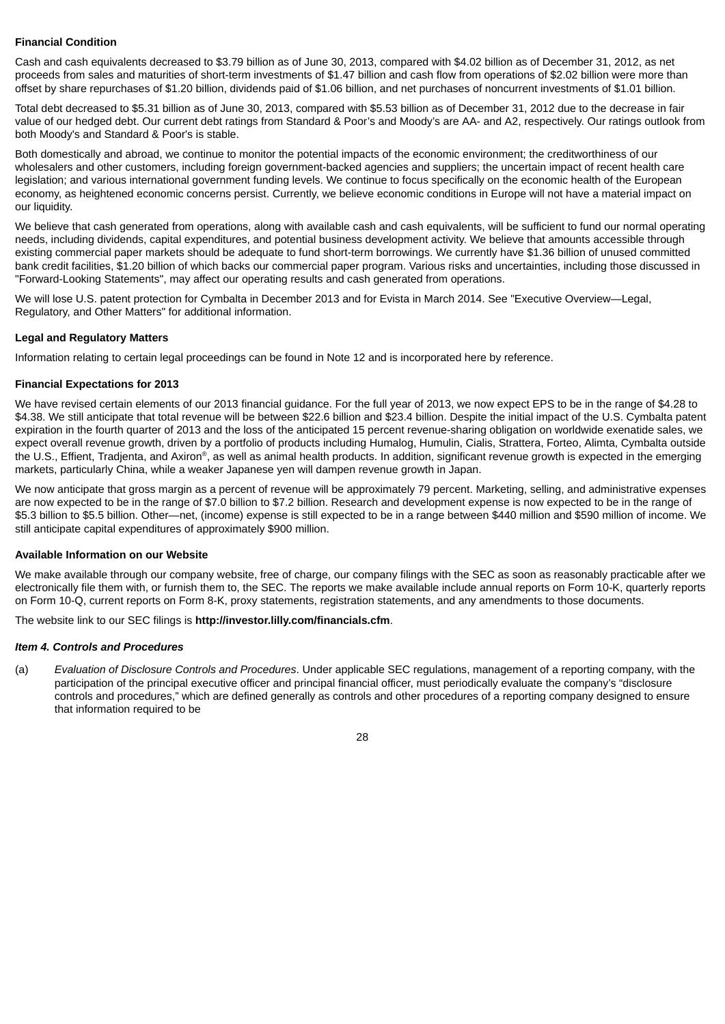#### **Financial Condition**

Cash and cash equivalents decreased to \$3.79 billion as of June 30, 2013, compared with \$4.02 billion as of December 31, 2012, as net proceeds from sales and maturities of short-term investments of \$1.47 billion and cash flow from operations of \$2.02 billion were more than offset by share repurchases of \$1.20 billion, dividends paid of \$1.06 billion, and net purchases of noncurrent investments of \$1.01 billion.

Total debt decreased to \$5.31 billion as of June 30, 2013, compared with \$5.53 billion as of December 31, 2012 due to the decrease in fair value of our hedged debt. Our current debt ratings from Standard & Poor's and Moody's are AA- and A2, respectively. Our ratings outlook from both Moody's and Standard & Poor's is stable.

Both domestically and abroad, we continue to monitor the potential impacts of the economic environment; the creditworthiness of our wholesalers and other customers, including foreign government-backed agencies and suppliers; the uncertain impact of recent health care legislation; and various international government funding levels. We continue to focus specifically on the economic health of the European economy, as heightened economic concerns persist. Currently, we believe economic conditions in Europe will not have a material impact on our liquidity.

We believe that cash generated from operations, along with available cash and cash equivalents, will be sufficient to fund our normal operating needs, including dividends, capital expenditures, and potential business development activity. We believe that amounts accessible through existing commercial paper markets should be adequate to fund short-term borrowings. We currently have \$1.36 billion of unused committed bank credit facilities, \$1.20 billion of which backs our commercial paper program. Various risks and uncertainties, including those discussed in "Forward-Looking Statements", may affect our operating results and cash generated from operations.

We will lose U.S. patent protection for Cymbalta in December 2013 and for Evista in March 2014. See "Executive Overview—Legal, Regulatory, and Other Matters" for additional information.

#### **Legal and Regulatory Matters**

Information relating to certain legal proceedings can be found in Note 12 and is incorporated here by reference.

#### **Financial Expectations for 2013**

We have revised certain elements of our 2013 financial guidance. For the full year of 2013, we now expect EPS to be in the range of \$4.28 to \$4.38. We still anticipate that total revenue will be between \$22.6 billion and \$23.4 billion. Despite the initial impact of the U.S. Cymbalta patent expiration in the fourth quarter of 2013 and the loss of the anticipated 15 percent revenue-sharing obligation on worldwide exenatide sales, we expect overall revenue growth, driven by a portfolio of products including Humalog, Humulin, Cialis, Strattera, Forteo, Alimta, Cymbalta outside the U.S., Effient, Tradjenta, and Axiron®, as well as animal health products. In addition, significant revenue growth is expected in the emerging markets, particularly China, while a weaker Japanese yen will dampen revenue growth in Japan.

We now anticipate that gross margin as a percent of revenue will be approximately 79 percent. Marketing, selling, and administrative expenses are now expected to be in the range of \$7.0 billion to \$7.2 billion. Research and development expense is now expected to be in the range of \$5.3 billion to \$5.5 billion. Other—net, (income) expense is still expected to be in a range between \$440 million and \$590 million of income. We still anticipate capital expenditures of approximately \$900 million.

#### **Available Information on our Website**

We make available through our company website, free of charge, our company filings with the SEC as soon as reasonably practicable after we electronically file them with, or furnish them to, the SEC. The reports we make available include annual reports on Form 10-K, quarterly reports on Form 10-Q, current reports on Form 8-K, proxy statements, registration statements, and any amendments to those documents.

The website link to our SEC filings is **http://investor.lilly.com/financials.cfm**.

#### *Item 4. Controls and Procedures*

(a) *Evaluation of Disclosure Controls and Procedures*. Under applicable SEC regulations, management of a reporting company, with the participation of the principal executive officer and principal financial officer, must periodically evaluate the company's "disclosure controls and procedures," which are defined generally as controls and other procedures of a reporting company designed to ensure that information required to be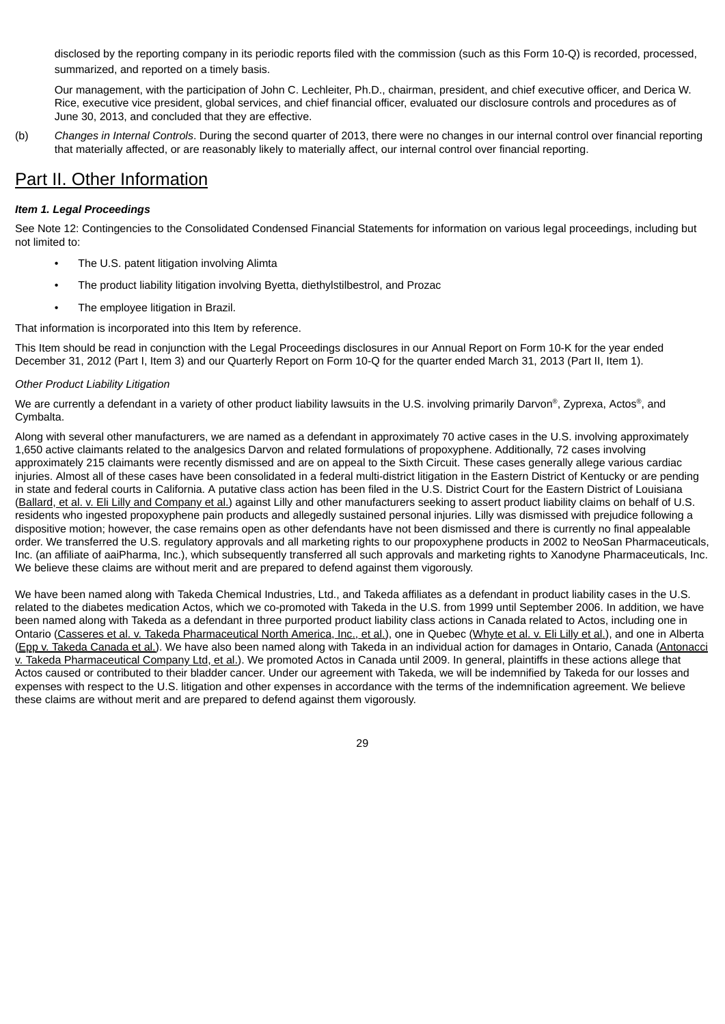disclosed by the reporting company in its periodic reports filed with the commission (such as this Form 10-Q) is recorded, processed, summarized, and reported on a timely basis.

Our management, with the participation of John C. Lechleiter, Ph.D., chairman, president, and chief executive officer, and Derica W. Rice, executive vice president, global services, and chief financial officer, evaluated our disclosure controls and procedures as of June 30, 2013, and concluded that they are effective.

(b) *Changes in Internal Controls*. During the second quarter of 2013, there were no changes in our internal control over financial reporting that materially affected, or are reasonably likely to materially affect, our internal control over financial reporting.

# Part II. Other Information

# *Item 1. Legal Proceedings*

See Note 12: Contingencies to the Consolidated Condensed Financial Statements for information on various legal proceedings, including but not limited to:

- The U.S. patent litigation involving Alimta
- The product liability litigation involving Byetta, diethylstilbestrol, and Prozac
- The employee litigation in Brazil.

That information is incorporated into this Item by reference.

This Item should be read in conjunction with the Legal Proceedings disclosures in our Annual Report on Form 10-K for the year ended December 31, 2012 (Part I, Item 3) and our Quarterly Report on Form 10-Q for the quarter ended March 31, 2013 (Part II, Item 1).

#### *Other Product Liability Litigation*

We are currently a defendant in a variety of other product liability lawsuits in the U.S. involving primarily Darvon®, Zyprexa, Actos®, and Cymbalta.

Along with several other manufacturers, we are named as a defendant in approximately 70 active cases in the U.S. involving approximately 1,650 active claimants related to the analgesics Darvon and related formulations of propoxyphene. Additionally, 72 cases involving approximately 215 claimants were recently dismissed and are on appeal to the Sixth Circuit. These cases generally allege various cardiac injuries. Almost all of these cases have been consolidated in a federal multi-district litigation in the Eastern District of Kentucky or are pending in state and federal courts in California. A putative class action has been filed in the U.S. District Court for the Eastern District of Louisiana (Ballard, et al. v. Eli Lilly and Company et al.) against Lilly and other manufacturers seeking to assert product liability claims on behalf of U.S. residents who ingested propoxyphene pain products and allegedly sustained personal injuries. Lilly was dismissed with prejudice following a dispositive motion; however, the case remains open as other defendants have not been dismissed and there is currently no final appealable order. We transferred the U.S. regulatory approvals and all marketing rights to our propoxyphene products in 2002 to NeoSan Pharmaceuticals, Inc. (an affiliate of aaiPharma, Inc.), which subsequently transferred all such approvals and marketing rights to Xanodyne Pharmaceuticals, Inc. We believe these claims are without merit and are prepared to defend against them vigorously.

We have been named along with Takeda Chemical Industries, Ltd., and Takeda affiliates as a defendant in product liability cases in the U.S. related to the diabetes medication Actos, which we co-promoted with Takeda in the U.S. from 1999 until September 2006. In addition, we have been named along with Takeda as a defendant in three purported product liability class actions in Canada related to Actos, including one in Ontario (Casseres et al. v. Takeda Pharmaceutical North America, Inc., et al.), one in Quebec (Whyte et al. v. Eli Lilly et al.), and one in Alberta (Epp v. Takeda Canada et al.). We have also been named along with Takeda in an individual action for damages in Ontario, Canada (Antonacci v. Takeda Pharmaceutical Company Ltd, et al.). We promoted Actos in Canada until 2009. In general, plaintiffs in these actions allege that Actos caused or contributed to their bladder cancer. Under our agreement with Takeda, we will be indemnified by Takeda for our losses and expenses with respect to the U.S. litigation and other expenses in accordance with the terms of the indemnification agreement. We believe these claims are without merit and are prepared to defend against them vigorously.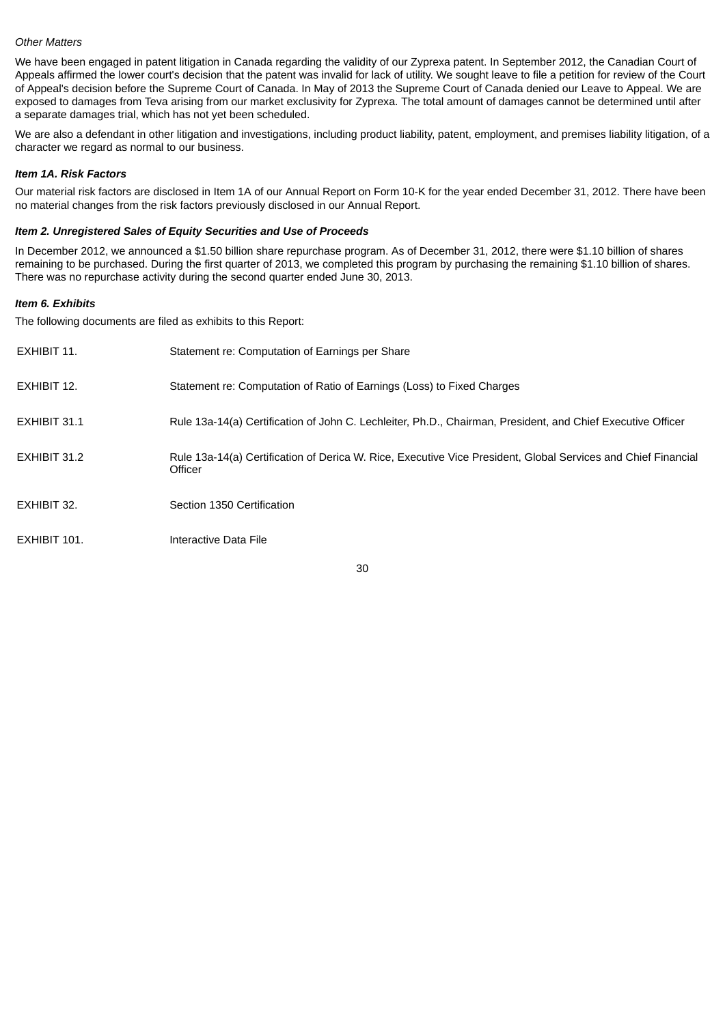#### *Other Matters*

We have been engaged in patent litigation in Canada regarding the validity of our Zyprexa patent. In September 2012, the Canadian Court of Appeals affirmed the lower court's decision that the patent was invalid for lack of utility. We sought leave to file a petition for review of the Court of Appeal's decision before the Supreme Court of Canada. In May of 2013 the Supreme Court of Canada denied our Leave to Appeal. We are exposed to damages from Teva arising from our market exclusivity for Zyprexa. The total amount of damages cannot be determined until after a separate damages trial, which has not yet been scheduled.

We are also a defendant in other litigation and investigations, including product liability, patent, employment, and premises liability litigation, of a character we regard as normal to our business.

#### *Item 1A. Risk Factors*

Our material risk factors are disclosed in Item 1A of our Annual Report on Form 10-K for the year ended December 31, 2012. There have been no material changes from the risk factors previously disclosed in our Annual Report.

#### *Item 2. Unregistered Sales of Equity Securities and Use of Proceeds*

In December 2012, we announced a \$1.50 billion share repurchase program. As of December 31, 2012, there were \$1.10 billion of shares remaining to be purchased. During the first quarter of 2013, we completed this program by purchasing the remaining \$1.10 billion of shares. There was no repurchase activity during the second quarter ended June 30, 2013.

#### *Item 6. Exhibits*

The following documents are filed as exhibits to this Report:

| EXHIBIT 11.  | Statement re: Computation of Earnings per Share                                                                          |
|--------------|--------------------------------------------------------------------------------------------------------------------------|
| EXHIBIT 12.  | Statement re: Computation of Ratio of Earnings (Loss) to Fixed Charges                                                   |
| EXHIBIT 31.1 | Rule 13a-14(a) Certification of John C. Lechleiter, Ph.D., Chairman, President, and Chief Executive Officer              |
| EXHIBIT 31.2 | Rule 13a-14(a) Certification of Derica W. Rice, Executive Vice President, Global Services and Chief Financial<br>Officer |
| EXHIBIT 32.  | Section 1350 Certification                                                                                               |
| EXHIBIT 101. | Interactive Data File                                                                                                    |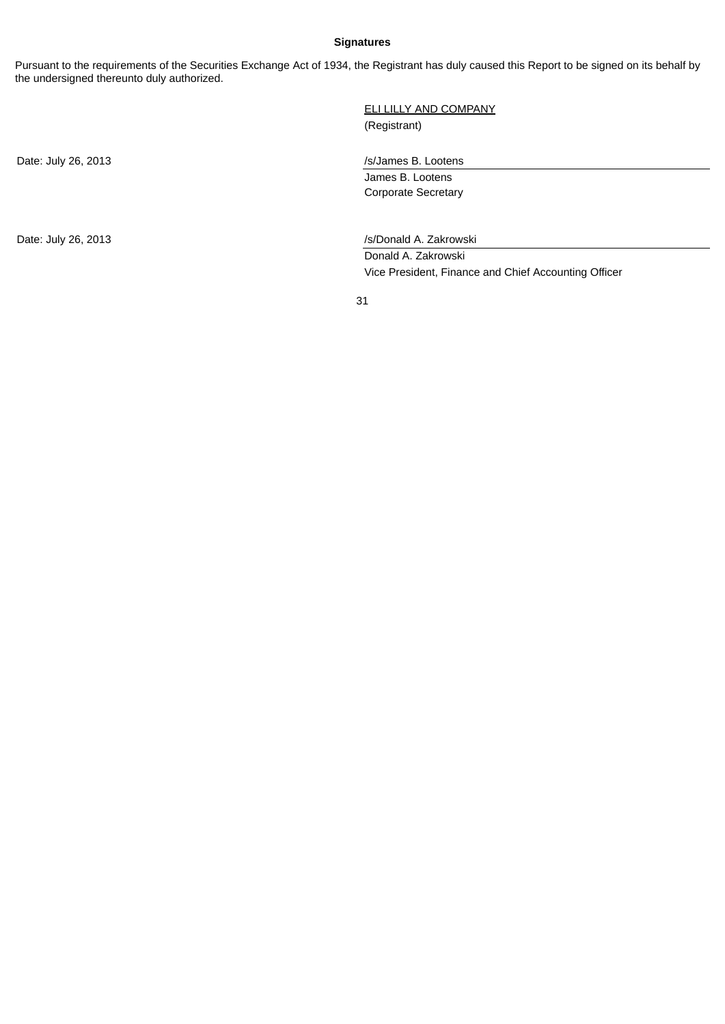#### **Signatures**

Pursuant to the requirements of the Securities Exchange Act of 1934, the Registrant has duly caused this Report to be signed on its behalf by the undersigned thereunto duly authorized.

ELI LILLY AND COMPANY (Registrant)

Date: July 26, 2013 /s/James B. Lootens

James B. Lootens Corporate Secretary

Date: July 26, 2013 /s/Donald A. Zakrowski

Donald A. Zakrowski Vice President, Finance and Chief Accounting Officer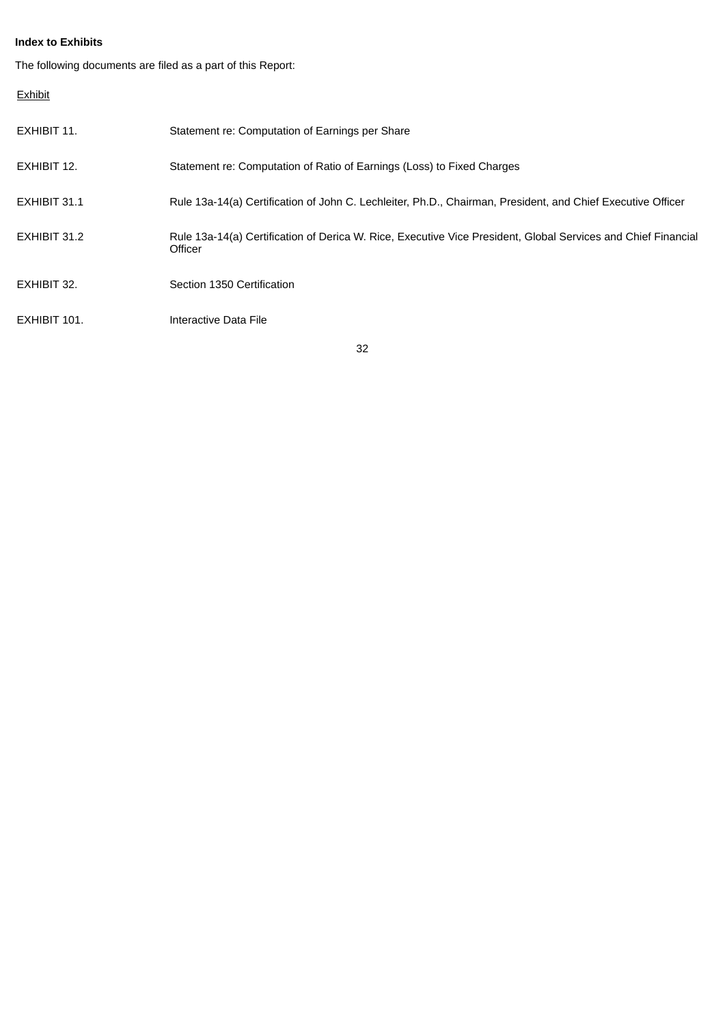## **Index to Exhibits**

The following documents are filed as a part of this Report:

| Exhibit      |                                                                                                                          |
|--------------|--------------------------------------------------------------------------------------------------------------------------|
| EXHIBIT 11.  | Statement re: Computation of Earnings per Share                                                                          |
| EXHIBIT 12.  | Statement re: Computation of Ratio of Earnings (Loss) to Fixed Charges                                                   |
| EXHIBIT 31.1 | Rule 13a-14(a) Certification of John C. Lechleiter, Ph.D., Chairman, President, and Chief Executive Officer              |
| EXHIBIT 31.2 | Rule 13a-14(a) Certification of Derica W. Rice, Executive Vice President, Global Services and Chief Financial<br>Officer |
| EXHIBIT 32.  | Section 1350 Certification                                                                                               |
| EXHIBIT 101. | Interactive Data File                                                                                                    |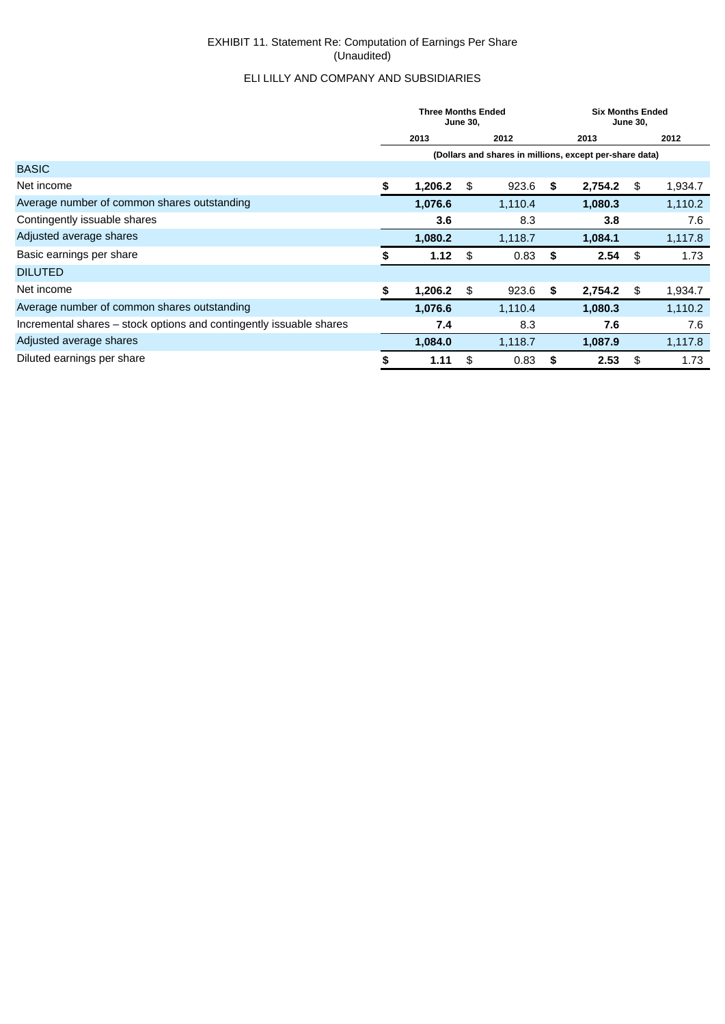# EXHIBIT 11. Statement Re: Computation of Earnings Per Share (Unaudited)

# ELI LILLY AND COMPANY AND SUBSIDIARIES

|                                                                     | <b>Three Months Ended</b> | <b>June 30.</b> |         |    | <b>Six Months Ended</b><br><b>June 30,</b>              |    |         |  |  |
|---------------------------------------------------------------------|---------------------------|-----------------|---------|----|---------------------------------------------------------|----|---------|--|--|
|                                                                     | 2013                      |                 | 2012    |    | 2013                                                    |    | 2012    |  |  |
|                                                                     |                           |                 |         |    | (Dollars and shares in millions, except per-share data) |    |         |  |  |
| <b>BASIC</b>                                                        |                           |                 |         |    |                                                         |    |         |  |  |
| Net income                                                          | \$<br>1,206.2             | \$              | 923.6   | \$ | 2,754.2                                                 | \$ | 1,934.7 |  |  |
| Average number of common shares outstanding                         | 1,076.6                   |                 | 1,110.4 |    | 1,080.3                                                 |    | 1,110.2 |  |  |
| Contingently issuable shares                                        | 3.6                       |                 | 8.3     |    | 3.8                                                     |    | 7.6     |  |  |
| Adjusted average shares                                             | 1,080.2                   |                 | 1,118.7 |    | 1,084.1                                                 |    | 1,117.8 |  |  |
| Basic earnings per share                                            | \$<br>1.12                | \$              | 0.83    | \$ | 2.54                                                    | \$ | 1.73    |  |  |
| <b>DILUTED</b>                                                      |                           |                 |         |    |                                                         |    |         |  |  |
| Net income                                                          | \$<br>1,206.2             | \$              | 923.6   | \$ | 2,754.2                                                 | \$ | 1,934.7 |  |  |
| Average number of common shares outstanding                         | 1,076.6                   |                 | 1,110.4 |    | 1,080.3                                                 |    | 1,110.2 |  |  |
| Incremental shares – stock options and contingently issuable shares | 7.4                       |                 | 8.3     |    | 7.6                                                     |    | 7.6     |  |  |
| Adjusted average shares                                             | 1,084.0                   |                 | 1,118.7 |    | 1,087.9                                                 |    | 1,117.8 |  |  |
| Diluted earnings per share                                          | \$<br>1.11                | \$              | 0.83    | \$ | 2.53                                                    | \$ | 1.73    |  |  |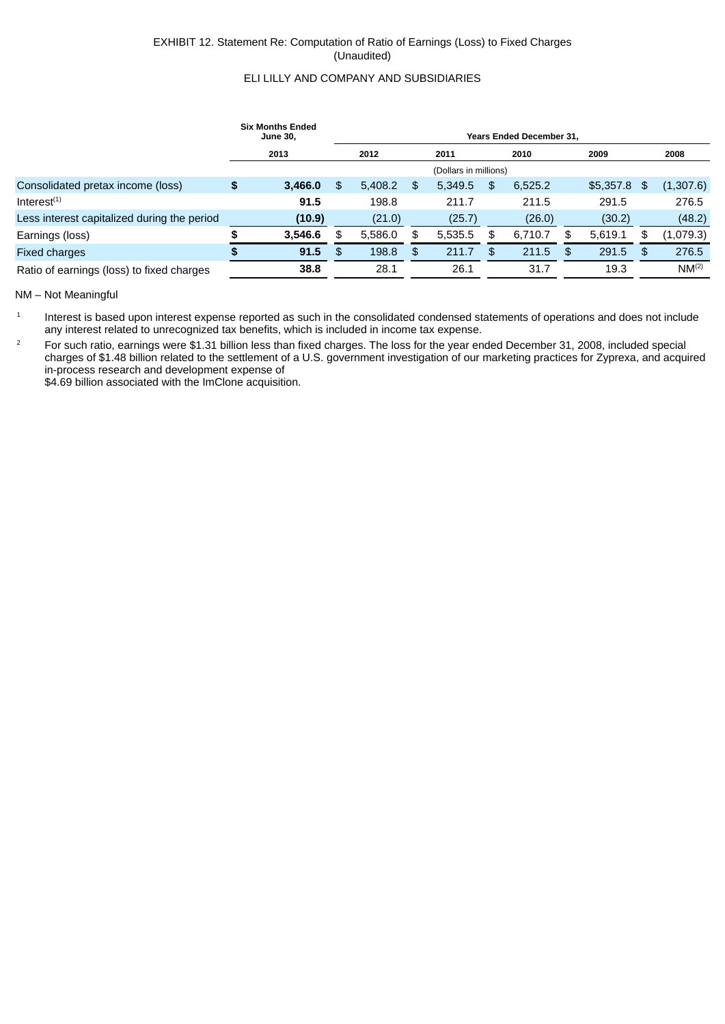# EXHIBIT 12. Statement Re: Computation of Ratio of Earnings (Loss) to Fixed Charges (Unaudited)

# ELI LILLY AND COMPANY AND SUBSIDIARIES

|                                             |      | <b>Six Months Ended</b><br>June 30, | <b>Years Ended December 31.</b> |                       |    |         |     |         |     |           |    |                   |
|---------------------------------------------|------|-------------------------------------|---------------------------------|-----------------------|----|---------|-----|---------|-----|-----------|----|-------------------|
|                                             | 2013 |                                     |                                 | 2012                  |    | 2011    |     | 2010    |     | 2009      |    | 2008              |
|                                             |      |                                     |                                 | (Dollars in millions) |    |         |     |         |     |           |    |                   |
| Consolidated pretax income (loss)           | \$   | 3,466.0                             | \$                              | 5,408.2               | \$ | 5,349.5 | \$  | 6,525.2 |     | \$5,357.8 | \$ | (1,307.6)         |
| Interest $(1)$                              |      | 91.5                                |                                 | 198.8                 |    | 211.7   |     | 211.5   |     | 291.5     |    | 276.5             |
| Less interest capitalized during the period |      | (10.9)                              |                                 | (21.0)                |    | (25.7)  |     | (26.0)  |     | (30.2)    |    | (48.2)            |
| Earnings (loss)                             |      | 3,546.6                             | \$                              | 5,586.0               | S  | 5,535.5 | \$. | 6,710.7 |     | 5,619.1   | \$ | (1,079.3)         |
| <b>Fixed charges</b>                        |      | 91.5                                | \$                              | 198.8                 | \$ | 211.7   | \$. | 211.5   | -SS | 291.5     | \$ | 276.5             |
| Ratio of earnings (loss) to fixed charges   |      | 38.8                                |                                 | 28.1                  |    | 26.1    |     | 31.7    |     | 19.3      |    | NM <sup>(2)</sup> |

NM – Not Meaningful

1 Interest is based upon interest expense reported as such in the consolidated condensed statements of operations and does not include any interest related to unrecognized tax benefits, which is included in income tax expense.

 $2^2$  For such ratio, earnings were \$1.31 billion less than fixed charges. The loss for the year ended December 31, 2008, included special charges of \$1.48 billion related to the settlement of a U.S. government investigation of our marketing practices for Zyprexa, and acquired in-process research and development expense of

\$4.69 billion associated with the ImClone acquisition.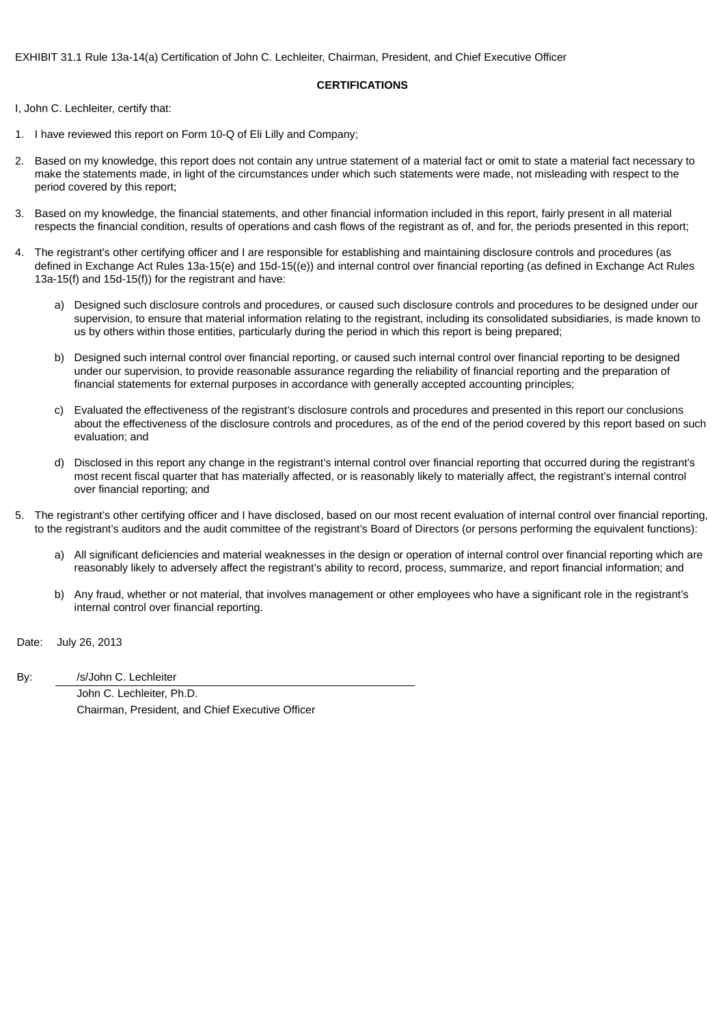EXHIBIT 31.1 Rule 13a-14(a) Certification of John C. Lechleiter, Chairman, President, and Chief Executive Officer

#### **CERTIFICATIONS**

I, John C. Lechleiter, certify that:

- 1. I have reviewed this report on Form 10-Q of Eli Lilly and Company;
- 2. Based on my knowledge, this report does not contain any untrue statement of a material fact or omit to state a material fact necessary to make the statements made, in light of the circumstances under which such statements were made, not misleading with respect to the period covered by this report;
- 3. Based on my knowledge, the financial statements, and other financial information included in this report, fairly present in all material respects the financial condition, results of operations and cash flows of the registrant as of, and for, the periods presented in this report;
- 4. The registrant's other certifying officer and I are responsible for establishing and maintaining disclosure controls and procedures (as defined in Exchange Act Rules 13a-15(e) and 15d-15((e)) and internal control over financial reporting (as defined in Exchange Act Rules 13a-15(f) and 15d-15(f)) for the registrant and have:
	- a) Designed such disclosure controls and procedures, or caused such disclosure controls and procedures to be designed under our supervision, to ensure that material information relating to the registrant, including its consolidated subsidiaries, is made known to us by others within those entities, particularly during the period in which this report is being prepared;
	- b) Designed such internal control over financial reporting, or caused such internal control over financial reporting to be designed under our supervision, to provide reasonable assurance regarding the reliability of financial reporting and the preparation of financial statements for external purposes in accordance with generally accepted accounting principles;
	- c) Evaluated the effectiveness of the registrant's disclosure controls and procedures and presented in this report our conclusions about the effectiveness of the disclosure controls and procedures, as of the end of the period covered by this report based on such evaluation; and
	- d) Disclosed in this report any change in the registrant's internal control over financial reporting that occurred during the registrant's most recent fiscal quarter that has materially affected, or is reasonably likely to materially affect, the registrant's internal control over financial reporting; and
- 5. The registrant's other certifying officer and I have disclosed, based on our most recent evaluation of internal control over financial reporting, to the registrant's auditors and the audit committee of the registrant's Board of Directors (or persons performing the equivalent functions):
	- a) All significant deficiencies and material weaknesses in the design or operation of internal control over financial reporting which are reasonably likely to adversely affect the registrant's ability to record, process, summarize, and report financial information; and
	- b) Any fraud, whether or not material, that involves management or other employees who have a significant role in the registrant's internal control over financial reporting.

Date: July 26, 2013

John C. Lechleiter, Ph.D. Chairman, President, and Chief Executive Officer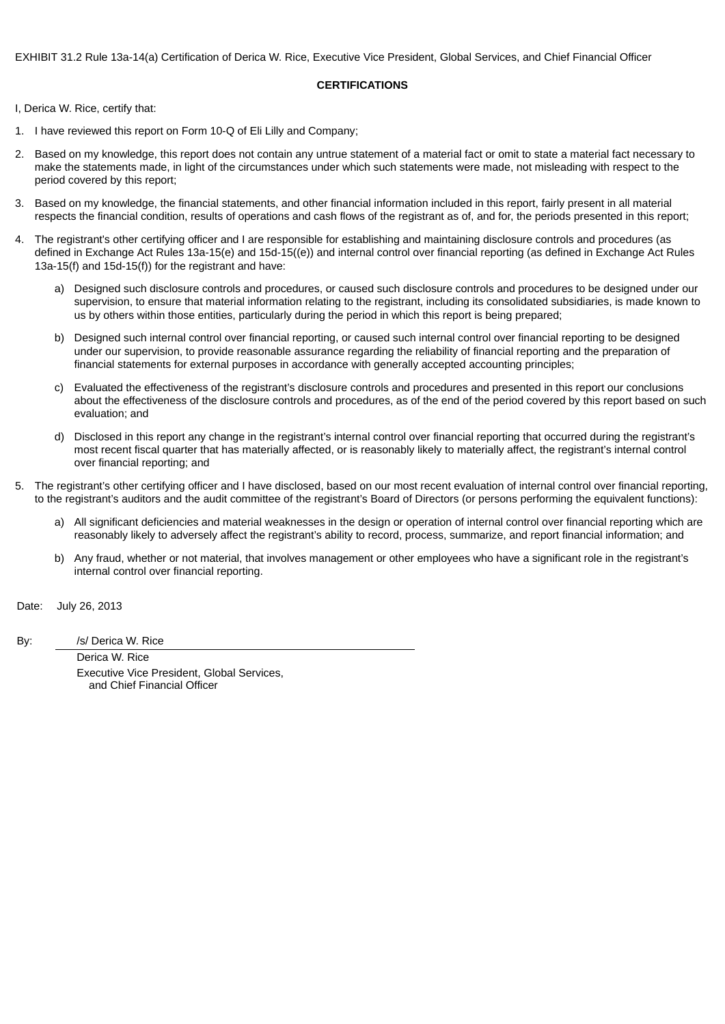EXHIBIT 31.2 Rule 13a-14(a) Certification of Derica W. Rice, Executive Vice President, Global Services, and Chief Financial Officer

#### **CERTIFICATIONS**

I, Derica W. Rice, certify that:

- 1. I have reviewed this report on Form 10-Q of Eli Lilly and Company;
- 2. Based on my knowledge, this report does not contain any untrue statement of a material fact or omit to state a material fact necessary to make the statements made, in light of the circumstances under which such statements were made, not misleading with respect to the period covered by this report;
- 3. Based on my knowledge, the financial statements, and other financial information included in this report, fairly present in all material respects the financial condition, results of operations and cash flows of the registrant as of, and for, the periods presented in this report;
- 4. The registrant's other certifying officer and I are responsible for establishing and maintaining disclosure controls and procedures (as defined in Exchange Act Rules 13a-15(e) and 15d-15((e)) and internal control over financial reporting (as defined in Exchange Act Rules 13a-15(f) and 15d-15(f)) for the registrant and have:
	- a) Designed such disclosure controls and procedures, or caused such disclosure controls and procedures to be designed under our supervision, to ensure that material information relating to the registrant, including its consolidated subsidiaries, is made known to us by others within those entities, particularly during the period in which this report is being prepared;
	- b) Designed such internal control over financial reporting, or caused such internal control over financial reporting to be designed under our supervision, to provide reasonable assurance regarding the reliability of financial reporting and the preparation of financial statements for external purposes in accordance with generally accepted accounting principles;
	- c) Evaluated the effectiveness of the registrant's disclosure controls and procedures and presented in this report our conclusions about the effectiveness of the disclosure controls and procedures, as of the end of the period covered by this report based on such evaluation; and
	- d) Disclosed in this report any change in the registrant's internal control over financial reporting that occurred during the registrant's most recent fiscal quarter that has materially affected, or is reasonably likely to materially affect, the registrant's internal control over financial reporting; and
- 5. The registrant's other certifying officer and I have disclosed, based on our most recent evaluation of internal control over financial reporting, to the registrant's auditors and the audit committee of the registrant's Board of Directors (or persons performing the equivalent functions):
	- a) All significant deficiencies and material weaknesses in the design or operation of internal control over financial reporting which are reasonably likely to adversely affect the registrant's ability to record, process, summarize, and report financial information; and
	- b) Any fraud, whether or not material, that involves management or other employees who have a significant role in the registrant's internal control over financial reporting.

Date: July 26, 2013

By: /s/ Derica W. Rice

Derica W. Rice Executive Vice President, Global Services, and Chief Financial Officer